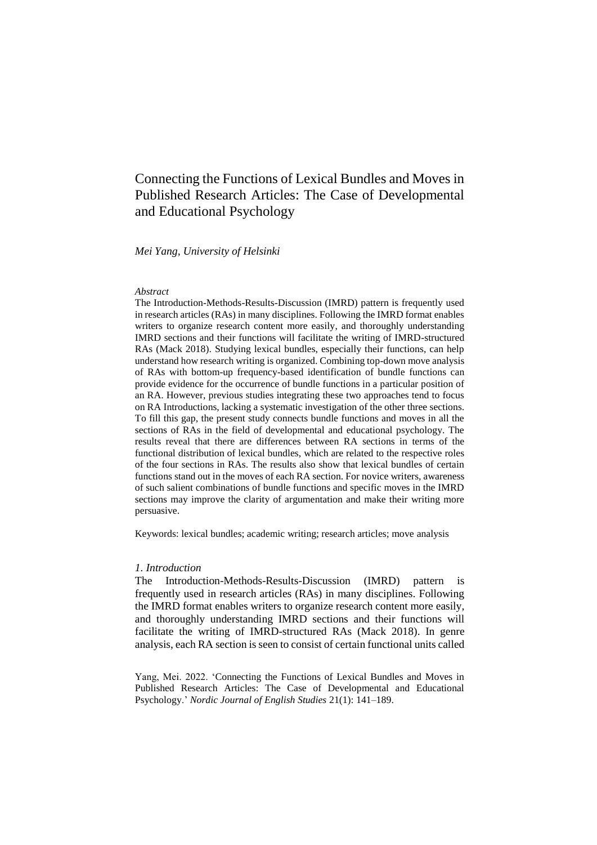# Connecting the Functions of Lexical Bundles and Moves in Published Research Articles: The Case of Developmental and Educational Psychology

*Mei Yang, University of Helsinki*

#### *Abstract*

The Introduction-Methods-Results-Discussion (IMRD) pattern is frequently used in research articles (RAs) in many disciplines. Following the IMRD format enables writers to organize research content more easily, and thoroughly understanding IMRD sections and their functions will facilitate the writing of IMRD-structured RAs (Mack 2018). Studying lexical bundles, especially their functions, can help understand how research writing is organized. Combining top-down move analysis of RAs with bottom-up frequency-based identification of bundle functions can provide evidence for the occurrence of bundle functions in a particular position of an RA. However, previous studies integrating these two approaches tend to focus on RA Introductions, lacking a systematic investigation of the other three sections. To fill this gap, the present study connects bundle functions and moves in all the sections of RAs in the field of developmental and educational psychology. The results reveal that there are differences between RA sections in terms of the functional distribution of lexical bundles, which are related to the respective roles of the four sections in RAs. The results also show that lexical bundles of certain functions stand out in the moves of each RA section. For novice writers, awareness of such salient combinations of bundle functions and specific moves in the IMRD sections may improve the clarity of argumentation and make their writing more persuasive.

Keywords: lexical bundles; academic writing; research articles; move analysis

### *1. Introduction*

The Introduction-Methods-Results-Discussion (IMRD) pattern is frequently used in research articles (RAs) in many disciplines. Following the IMRD format enables writers to organize research content more easily, and thoroughly understanding IMRD sections and their functions will facilitate the writing of IMRD-structured RAs (Mack 2018). In genre analysis, each RA section is seen to consist of certain functional units called

Yang, Mei. 2022. 'Connecting the Functions of Lexical Bundles and Moves in Published Research Articles: The Case of Developmental and Educational Psychology.' *Nordic Journal of English Studies* 21(1): 141–189.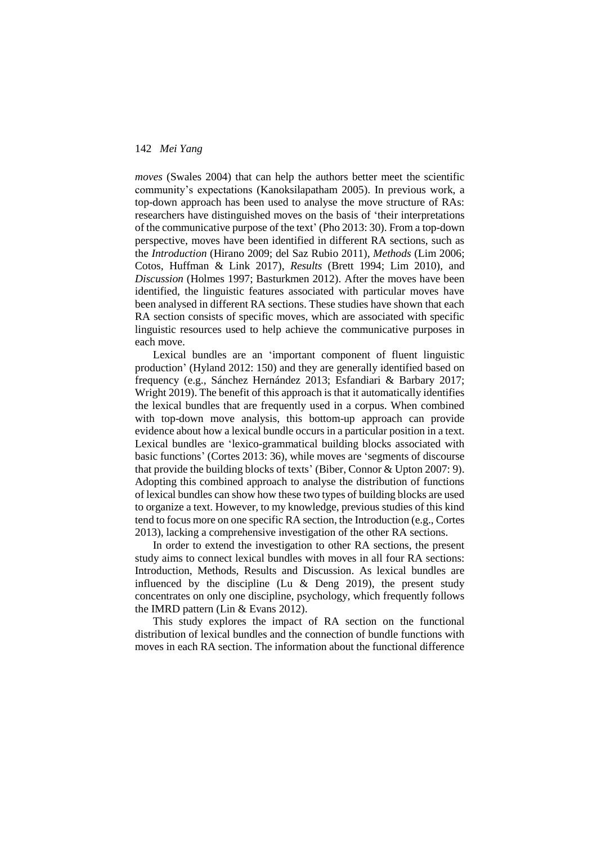*moves* (Swales 2004) that can help the authors better meet the scientific community's expectations (Kanoksilapatham 2005). In previous work, a top-down approach has been used to analyse the move structure of RAs: researchers have distinguished moves on the basis of 'their interpretations of the communicative purpose of the text' (Pho 2013: 30). From a top-down perspective, moves have been identified in different RA sections, such as the *Introduction* (Hirano 2009; del Saz Rubio 2011), *Methods* (Lim 2006; Cotos, Huffman & Link 2017), *Results* (Brett 1994; Lim 2010), and *Discussion* (Holmes 1997; Basturkmen 2012). After the moves have been identified, the linguistic features associated with particular moves have been analysed in different RA sections. These studies have shown that each RA section consists of specific moves, which are associated with specific linguistic resources used to help achieve the communicative purposes in each move.

Lexical bundles are an 'important component of fluent linguistic production' (Hyland 2012: 150) and they are generally identified based on frequency (e.g., Sánchez Hernández 2013; Esfandiari & Barbary 2017; Wright 2019). The benefit of this approach is that it automatically identifies the lexical bundles that are frequently used in a corpus. When combined with top-down move analysis, this bottom-up approach can provide evidence about how a lexical bundle occurs in a particular position in a text. Lexical bundles are 'lexico-grammatical building blocks associated with basic functions' (Cortes 2013: 36), while moves are 'segments of discourse that provide the building blocks of texts' (Biber, Connor & Upton 2007: 9). Adopting this combined approach to analyse the distribution of functions of lexical bundles can show how these two types of building blocks are used to organize a text. However, to my knowledge, previous studies of this kind tend to focus more on one specific RA section, the Introduction (e.g., Cortes 2013), lacking a comprehensive investigation of the other RA sections.

In order to extend the investigation to other RA sections, the present study aims to connect lexical bundles with moves in all four RA sections: Introduction, Methods, Results and Discussion. As lexical bundles are influenced by the discipline (Lu  $\&$  Deng 2019), the present study concentrates on only one discipline, psychology, which frequently follows the IMRD pattern (Lin & Evans 2012).

This study explores the impact of RA section on the functional distribution of lexical bundles and the connection of bundle functions with moves in each RA section. The information about the functional difference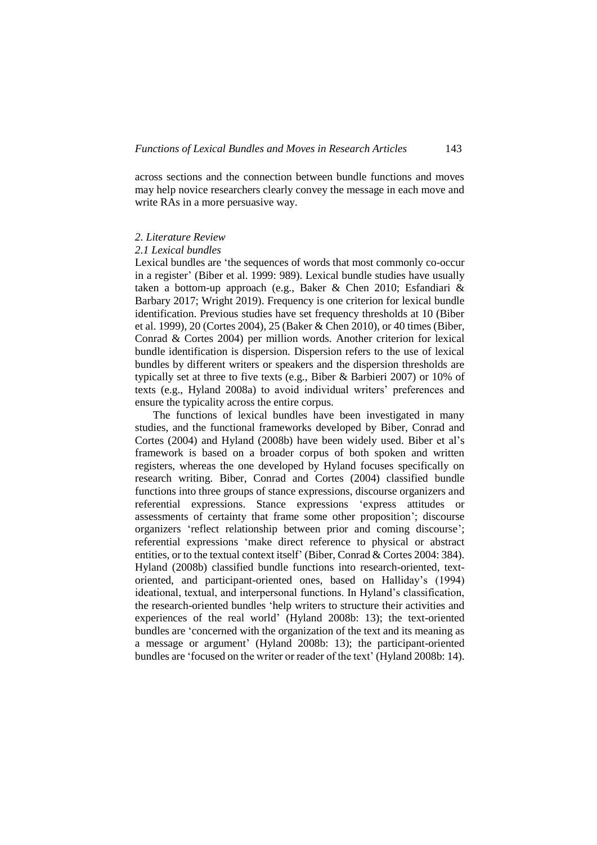across sections and the connection between bundle functions and moves may help novice researchers clearly convey the message in each move and write RAs in a more persuasive way.

### *2. Literature Review*

#### *2.1 Lexical bundles*

Lexical bundles are 'the sequences of words that most commonly co-occur in a register' (Biber et al. 1999: 989). Lexical bundle studies have usually taken a bottom-up approach (e.g., Baker & Chen 2010; Esfandiari & Barbary 2017; Wright 2019). Frequency is one criterion for lexical bundle identification. Previous studies have set frequency thresholds at 10 (Biber et al. 1999), 20 (Cortes 2004), 25 (Baker & Chen 2010), or 40 times (Biber, Conrad & Cortes 2004) per million words. Another criterion for lexical bundle identification is dispersion. Dispersion refers to the use of lexical bundles by different writers or speakers and the dispersion thresholds are typically set at three to five texts (e.g., Biber & Barbieri 2007) or 10% of texts (e.g., Hyland 2008a) to avoid individual writers' preferences and ensure the typicality across the entire corpus.

The functions of lexical bundles have been investigated in many studies, and the functional frameworks developed by Biber, Conrad and Cortes (2004) and Hyland (2008b) have been widely used. Biber et al's framework is based on a broader corpus of both spoken and written registers, whereas the one developed by Hyland focuses specifically on research writing. Biber, Conrad and Cortes (2004) classified bundle functions into three groups of stance expressions, discourse organizers and referential expressions. Stance expressions 'express attitudes or assessments of certainty that frame some other proposition'; discourse organizers 'reflect relationship between prior and coming discourse'; referential expressions 'make direct reference to physical or abstract entities, or to the textual context itself' (Biber, Conrad & Cortes 2004: 384). Hyland (2008b) classified bundle functions into research-oriented, textoriented, and participant-oriented ones, based on Halliday's (1994) ideational, textual, and interpersonal functions. In Hyland's classification, the research-oriented bundles 'help writers to structure their activities and experiences of the real world' (Hyland 2008b: 13); the text-oriented bundles are 'concerned with the organization of the text and its meaning as a message or argument' (Hyland 2008b: 13); the participant-oriented bundles are 'focused on the writer or reader of the text' (Hyland 2008b: 14).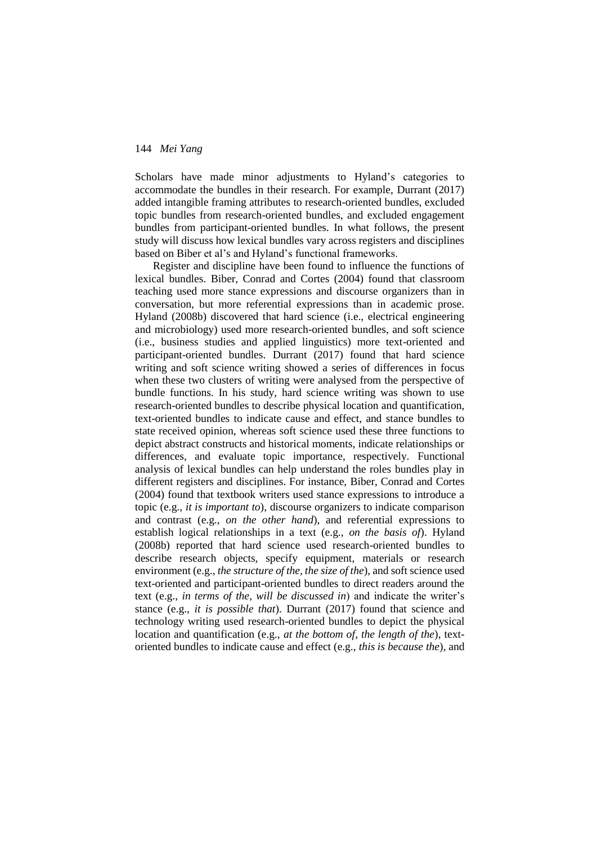Scholars have made minor adjustments to Hyland's categories to accommodate the bundles in their research. For example, Durrant (2017) added intangible framing attributes to research-oriented bundles, excluded topic bundles from research-oriented bundles, and excluded engagement bundles from participant-oriented bundles. In what follows, the present study will discuss how lexical bundles vary across registers and disciplines based on Biber et al's and Hyland's functional frameworks.

Register and discipline have been found to influence the functions of lexical bundles. Biber, Conrad and Cortes (2004) found that classroom teaching used more stance expressions and discourse organizers than in conversation, but more referential expressions than in academic prose. Hyland (2008b) discovered that hard science (i.e., electrical engineering and microbiology) used more research-oriented bundles, and soft science (i.e., business studies and applied linguistics) more text-oriented and participant-oriented bundles. Durrant (2017) found that hard science writing and soft science writing showed a series of differences in focus when these two clusters of writing were analysed from the perspective of bundle functions. In his study, hard science writing was shown to use research-oriented bundles to describe physical location and quantification, text-oriented bundles to indicate cause and effect, and stance bundles to state received opinion, whereas soft science used these three functions to depict abstract constructs and historical moments, indicate relationships or differences, and evaluate topic importance, respectively. Functional analysis of lexical bundles can help understand the roles bundles play in different registers and disciplines. For instance, Biber, Conrad and Cortes (2004) found that textbook writers used stance expressions to introduce a topic (e.g., *it is important to*), discourse organizers to indicate comparison and contrast (e.g., *on the other hand*), and referential expressions to establish logical relationships in a text (e.g., *on the basis of*). Hyland (2008b) reported that hard science used research-oriented bundles to describe research objects, specify equipment, materials or research environment (e.g., *the structure of the, the size of the*), and soft science used text-oriented and participant-oriented bundles to direct readers around the text (e.g., *in terms of the*, *will be discussed in*) and indicate the writer's stance (e.g., *it is possible that*). Durrant (2017) found that science and technology writing used research-oriented bundles to depict the physical location and quantification (e.g., *at the bottom of*, *the length of the*), textoriented bundles to indicate cause and effect (e.g., *this is because the*), and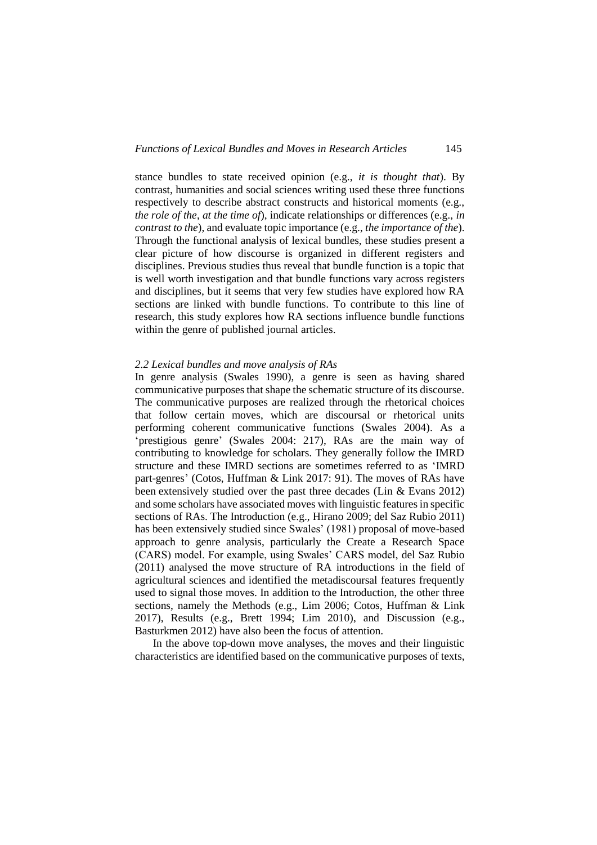stance bundles to state received opinion (e.g., *it is thought that*). By contrast, humanities and social sciences writing used these three functions respectively to describe abstract constructs and historical moments (e.g., *the role of the*, *at the time of*), indicate relationships or differences (e.g., *in contrast to the*), and evaluate topic importance (e.g., *the importance of the*). Through the functional analysis of lexical bundles, these studies present a clear picture of how discourse is organized in different registers and disciplines. Previous studies thus reveal that bundle function is a topic that is well worth investigation and that bundle functions vary across registers and disciplines, but it seems that very few studies have explored how RA sections are linked with bundle functions. To contribute to this line of research, this study explores how RA sections influence bundle functions within the genre of published journal articles.

#### *2.2 Lexical bundles and move analysis of RAs*

In genre analysis (Swales 1990), a genre is seen as having shared communicative purposes that shape the schematic structure of its discourse. The communicative purposes are realized through the rhetorical choices that follow certain moves, which are discoursal or rhetorical units performing coherent communicative functions (Swales 2004). As a 'prestigious genre' (Swales 2004: 217), RAs are the main way of contributing to knowledge for scholars. They generally follow the IMRD structure and these IMRD sections are sometimes referred to as 'IMRD part-genres' (Cotos, Huffman & Link 2017: 91). The moves of RAs have been extensively studied over the past three decades (Lin & Evans 2012) and some scholars have associated moves with linguistic features in specific sections of RAs. The Introduction (e.g., Hirano 2009; del Saz Rubio 2011) has been extensively studied since Swales' (1981) proposal of move-based approach to genre analysis, particularly the Create a Research Space (CARS) model. For example, using Swales' CARS model, del Saz Rubio (2011) analysed the move structure of RA introductions in the field of agricultural sciences and identified the metadiscoursal features frequently used to signal those moves. In addition to the Introduction, the other three sections, namely the Methods (e.g., Lim 2006; Cotos, Huffman & Link 2017), Results (e.g., Brett 1994; Lim 2010), and Discussion (e.g., Basturkmen 2012) have also been the focus of attention.

In the above top-down move analyses, the moves and their linguistic characteristics are identified based on the communicative purposes of texts,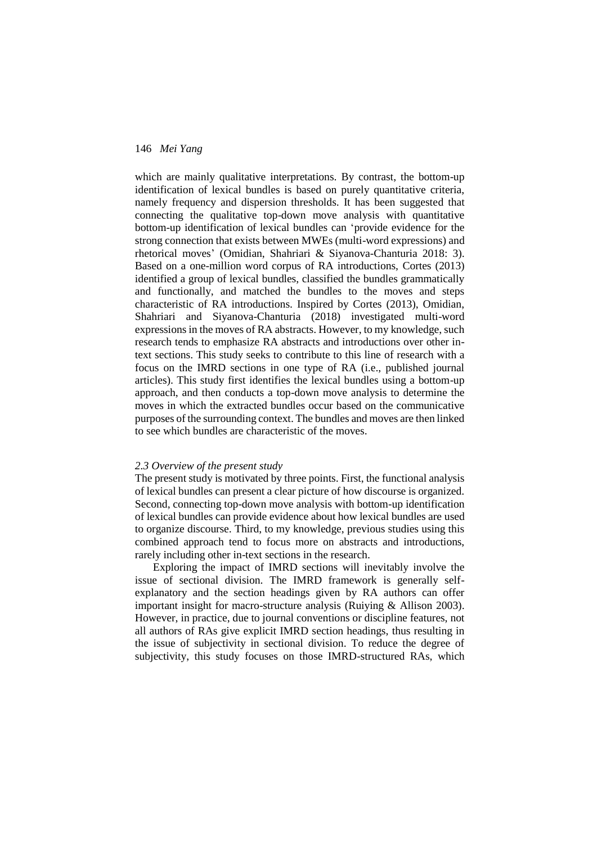which are mainly qualitative interpretations. By contrast, the bottom-up identification of lexical bundles is based on purely quantitative criteria, namely frequency and dispersion thresholds. It has been suggested that connecting the qualitative top-down move analysis with quantitative bottom-up identification of lexical bundles can 'provide evidence for the strong connection that exists between MWEs (multi-word expressions) and rhetorical moves' (Omidian, Shahriari & Siyanova-Chanturia 2018: 3). Based on a one-million word corpus of RA introductions, Cortes (2013) identified a group of lexical bundles, classified the bundles grammatically and functionally, and matched the bundles to the moves and steps characteristic of RA introductions. Inspired by Cortes (2013), Omidian, Shahriari and Siyanova-Chanturia (2018) investigated multi-word expressions in the moves of RA abstracts. However, to my knowledge, such research tends to emphasize RA abstracts and introductions over other intext sections. This study seeks to contribute to this line of research with a focus on the IMRD sections in one type of RA (i.e., published journal articles). This study first identifies the lexical bundles using a bottom-up approach, and then conducts a top-down move analysis to determine the moves in which the extracted bundles occur based on the communicative purposes of the surrounding context. The bundles and moves are then linked to see which bundles are characteristic of the moves.

## *2.3 Overview of the present study*

The present study is motivated by three points. First, the functional analysis of lexical bundles can present a clear picture of how discourse is organized. Second, connecting top-down move analysis with bottom-up identification of lexical bundles can provide evidence about how lexical bundles are used to organize discourse. Third, to my knowledge, previous studies using this combined approach tend to focus more on abstracts and introductions, rarely including other in-text sections in the research.

Exploring the impact of IMRD sections will inevitably involve the issue of sectional division. The IMRD framework is generally selfexplanatory and the section headings given by RA authors can offer important insight for macro-structure analysis (Ruiying & Allison 2003). However, in practice, due to journal conventions or discipline features, not all authors of RAs give explicit IMRD section headings, thus resulting in the issue of subjectivity in sectional division. To reduce the degree of subjectivity, this study focuses on those IMRD-structured RAs, which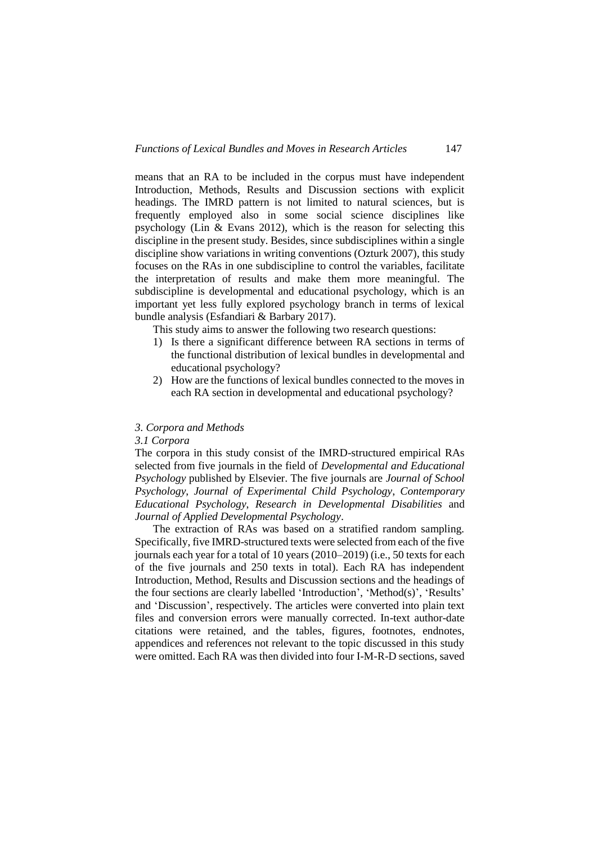means that an RA to be included in the corpus must have independent Introduction, Methods, Results and Discussion sections with explicit headings. The IMRD pattern is not limited to natural sciences, but is frequently employed also in some social science disciplines like psychology (Lin  $\&$  Evans 2012), which is the reason for selecting this discipline in the present study. Besides, since subdisciplines within a single discipline show variations in writing conventions (Ozturk 2007), this study focuses on the RAs in one subdiscipline to control the variables, facilitate the interpretation of results and make them more meaningful. The subdiscipline is developmental and educational psychology, which is an important yet less fully explored psychology branch in terms of lexical bundle analysis (Esfandiari & Barbary 2017).

This study aims to answer the following two research questions:

- 1) Is there a significant difference between RA sections in terms of the functional distribution of lexical bundles in developmental and educational psychology?
- 2) How are the functions of lexical bundles connected to the moves in each RA section in developmental and educational psychology?

### *3. Corpora and Methods*

#### *3.1 Corpora*

The corpora in this study consist of the IMRD-structured empirical RAs selected from five journals in the field of *Developmental and Educational Psychology* published by Elsevier. The five journals are *Journal of School Psychology*, *Journal of Experimental Child Psychology*, *Contemporary Educational Psychology*, *Research in Developmental Disabilities* and *Journal of Applied Developmental Psychology*.

The extraction of RAs was based on a stratified random sampling. Specifically, five IMRD-structured texts were selected from each of the five journals each year for a total of 10 years (2010–2019) (i.e., 50 texts for each of the five journals and 250 texts in total). Each RA has independent Introduction, Method, Results and Discussion sections and the headings of the four sections are clearly labelled 'Introduction', 'Method(s)', 'Results' and 'Discussion', respectively. The articles were converted into plain text files and conversion errors were manually corrected. In-text author-date citations were retained, and the tables, figures, footnotes, endnotes, appendices and references not relevant to the topic discussed in this study were omitted. Each RA was then divided into four I-M-R-D sections, saved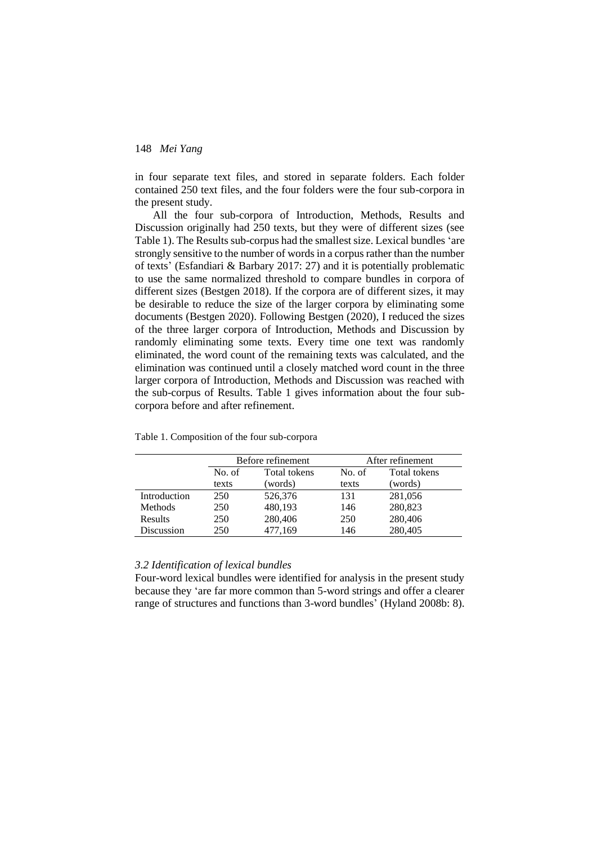in four separate text files, and stored in separate folders. Each folder contained 250 text files, and the four folders were the four sub-corpora in the present study.

All the four sub-corpora of Introduction, Methods, Results and Discussion originally had 250 texts, but they were of different sizes (see Table 1). The Results sub-corpus had the smallest size. Lexical bundles 'are strongly sensitive to the number of words in a corpus rather than the number of texts' (Esfandiari & Barbary 2017: 27) and it is potentially problematic to use the same normalized threshold to compare bundles in corpora of different sizes (Bestgen 2018). If the corpora are of different sizes, it may be desirable to reduce the size of the larger corpora by eliminating some documents (Bestgen 2020). Following Bestgen (2020), I reduced the sizes of the three larger corpora of Introduction, Methods and Discussion by randomly eliminating some texts. Every time one text was randomly eliminated, the word count of the remaining texts was calculated, and the elimination was continued until a closely matched word count in the three larger corpora of Introduction, Methods and Discussion was reached with the sub-corpus of Results. Table 1 gives information about the four subcorpora before and after refinement.

|                |        | Before refinement |       | After refinement |
|----------------|--------|-------------------|-------|------------------|
|                | No. of | Total tokens      |       | Total tokens     |
|                | texts  | (words)           | texts | (words)          |
| Introduction   | 250    | 526,376           | 131   | 281,056          |
| <b>Methods</b> | 250    | 480,193           | 146   | 280,823          |
| Results        | 250    | 280,406           | 250   | 280,406          |
| Discussion     | 250    | 477,169           | 146   | 280,405          |

|  | Table 1. Composition of the four sub-corpora |  |  |  |
|--|----------------------------------------------|--|--|--|
|--|----------------------------------------------|--|--|--|

## *3.2 Identification of lexical bundles*

Four-word lexical bundles were identified for analysis in the present study because they 'are far more common than 5-word strings and offer a clearer range of structures and functions than 3-word bundles' (Hyland 2008b: 8).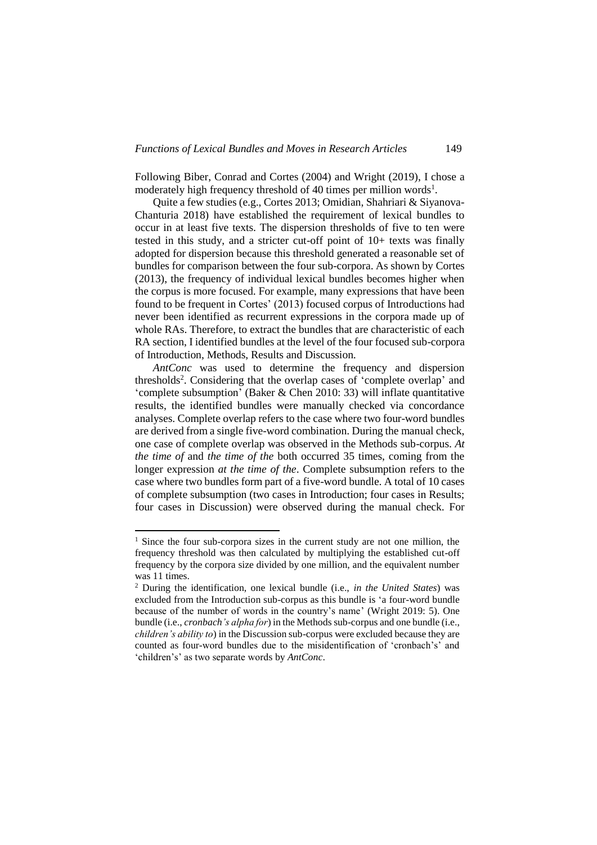Following Biber, Conrad and Cortes (2004) and Wright (2019), I chose a moderately high frequency threshold of 40 times per million words<sup>1</sup>.

Quite a few studies (e.g., Cortes 2013; Omidian, Shahriari & Siyanova-Chanturia 2018) have established the requirement of lexical bundles to occur in at least five texts. The dispersion thresholds of five to ten were tested in this study, and a stricter cut-off point of 10+ texts was finally adopted for dispersion because this threshold generated a reasonable set of bundles for comparison between the four sub-corpora. As shown by Cortes (2013), the frequency of individual lexical bundles becomes higher when the corpus is more focused. For example, many expressions that have been found to be frequent in Cortes' (2013) focused corpus of Introductions had never been identified as recurrent expressions in the corpora made up of whole RAs. Therefore, to extract the bundles that are characteristic of each RA section, I identified bundles at the level of the four focused sub-corpora of Introduction, Methods, Results and Discussion.

*AntConc* was used to determine the frequency and dispersion thresholds<sup>2</sup>. Considering that the overlap cases of 'complete overlap' and 'complete subsumption' (Baker & Chen 2010: 33) will inflate quantitative results, the identified bundles were manually checked via concordance analyses. Complete overlap refers to the case where two four-word bundles are derived from a single five-word combination. During the manual check, one case of complete overlap was observed in the Methods sub-corpus. *At the time of* and *the time of the* both occurred 35 times, coming from the longer expression *at the time of the*. Complete subsumption refers to the case where two bundles form part of a five-word bundle. A total of 10 cases of complete subsumption (two cases in Introduction; four cases in Results; four cases in Discussion) were observed during the manual check. For

-

<sup>&</sup>lt;sup>1</sup> Since the four sub-corpora sizes in the current study are not one million, the frequency threshold was then calculated by multiplying the established cut-off frequency by the corpora size divided by one million, and the equivalent number was 11 times.

<sup>2</sup> During the identification, one lexical bundle (i.e., *in the United States*) was excluded from the Introduction sub-corpus as this bundle is 'a four-word bundle because of the number of words in the country's name' (Wright 2019: 5). One bundle (i.e., *cronbach's alpha for*) in the Methods sub-corpus and one bundle (i.e., *children's ability to*) in the Discussion sub-corpus were excluded because they are counted as four-word bundles due to the misidentification of 'cronbach's' and 'children's' as two separate words by *AntConc*.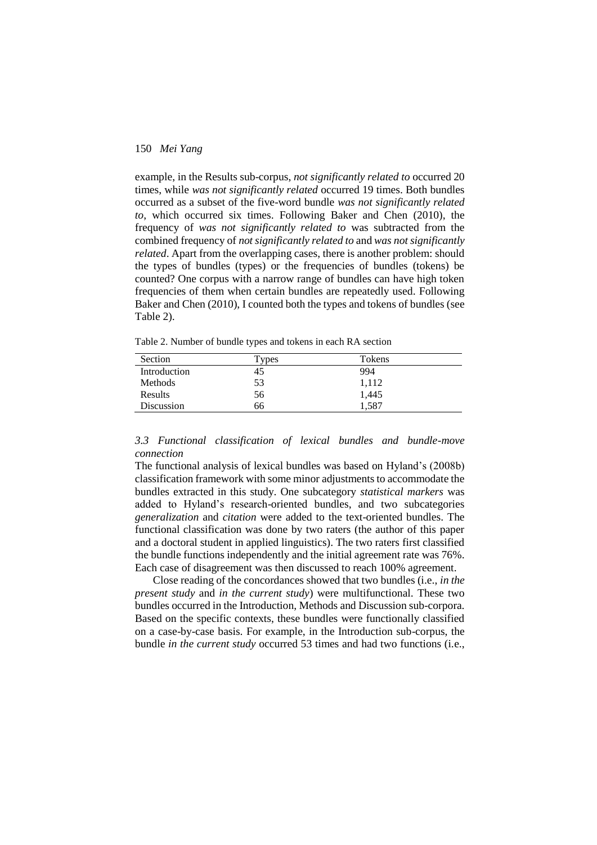example, in the Results sub-corpus, *not significantly related to* occurred 20 times, while *was not significantly related* occurred 19 times. Both bundles occurred as a subset of the five-word bundle *was not significantly related to*, which occurred six times. Following Baker and Chen (2010), the frequency of *was not significantly related to* was subtracted from the combined frequency of *not significantly related to* and *was not significantly related*. Apart from the overlapping cases, there is another problem: should the types of bundles (types) or the frequencies of bundles (tokens) be counted? One corpus with a narrow range of bundles can have high token frequencies of them when certain bundles are repeatedly used. Following Baker and Chen (2010), I counted both the types and tokens of bundles (see Table 2).

Table 2. Number of bundle types and tokens in each RA section

| Section        | Types | Tokens |  |
|----------------|-------|--------|--|
| Introduction   | 45    | 994    |  |
| <b>Methods</b> | 53    | 1,112  |  |
| Results        | 56    | 1,445  |  |
| Discussion     | 66    | 1.587  |  |

*3.3 Functional classification of lexical bundles and bundle-move connection*

The functional analysis of lexical bundles was based on Hyland's (2008b) classification framework with some minor adjustments to accommodate the bundles extracted in this study. One subcategory *statistical markers* was added to Hyland's research-oriented bundles, and two subcategories *generalization* and *citation* were added to the text-oriented bundles. The functional classification was done by two raters (the author of this paper and a doctoral student in applied linguistics). The two raters first classified the bundle functions independently and the initial agreement rate was 76%. Each case of disagreement was then discussed to reach 100% agreement.

Close reading of the concordances showed that two bundles (i.e., *in the present study* and *in the current study*) were multifunctional. These two bundles occurred in the Introduction, Methods and Discussion sub-corpora. Based on the specific contexts, these bundles were functionally classified on a case-by-case basis. For example, in the Introduction sub-corpus, the bundle *in the current study* occurred 53 times and had two functions (i.e.,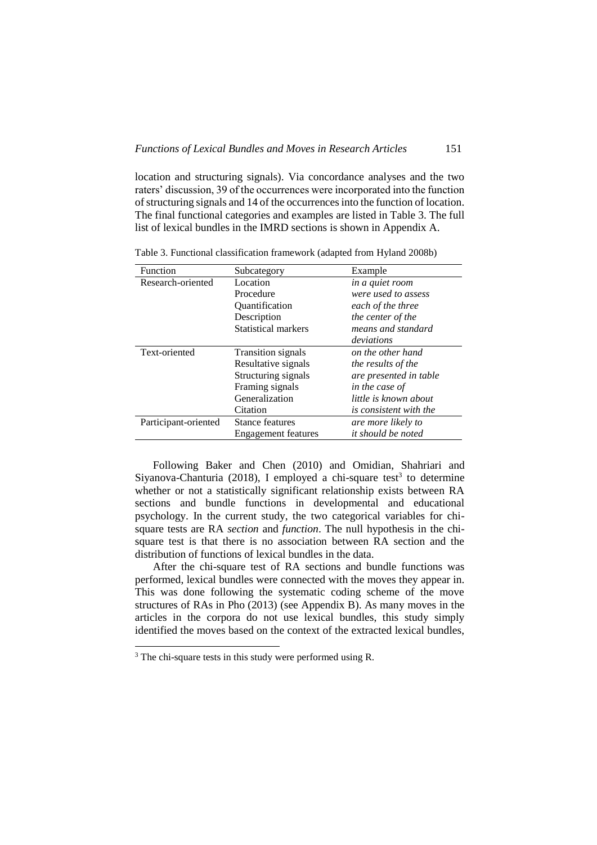location and structuring signals). Via concordance analyses and the two raters' discussion, 39 of the occurrences were incorporated into the function of structuring signals and 14 of the occurrences into the function of location. The final functional categories and examples are listed in Table 3. The full list of lexical bundles in the IMRD sections is shown in Appendix A.

| Function             | Subcategory               | Example                       |
|----------------------|---------------------------|-------------------------------|
| Research-oriented    | Location                  | in a quiet room               |
|                      | Procedure                 | were used to assess           |
|                      | Quantification            | each of the three             |
|                      | Description               | the center of the             |
|                      | Statistical markers       | means and standard            |
|                      |                           | deviations                    |
| Text-oriented        | <b>Transition signals</b> | on the other hand             |
|                      | Resultative signals       | <i>the results of the</i>     |
|                      | Structuring signals       | are presented in table        |
|                      | Framing signals           | in the case of                |
|                      | Generalization            | little is known about         |
|                      | Citation                  | <i>is consistent with the</i> |
| Participant-oriented | Stance features           | are more likely to            |
|                      | Engagement features       | <i>it should be noted</i>     |

Table 3. Functional classification framework (adapted from Hyland 2008b)

Following Baker and Chen (2010) and Omidian, Shahriari and Siyanova-Chanturia (2018), I employed a chi-square test<sup>3</sup> to determine whether or not a statistically significant relationship exists between RA sections and bundle functions in developmental and educational psychology. In the current study, the two categorical variables for chisquare tests are RA *section* and *function*. The null hypothesis in the chisquare test is that there is no association between RA section and the distribution of functions of lexical bundles in the data.

After the chi-square test of RA sections and bundle functions was performed, lexical bundles were connected with the moves they appear in. This was done following the systematic coding scheme of the move structures of RAs in Pho (2013) (see Appendix B). As many moves in the articles in the corpora do not use lexical bundles, this study simply identified the moves based on the context of the extracted lexical bundles,

-

 $3$  The chi-square tests in this study were performed using R.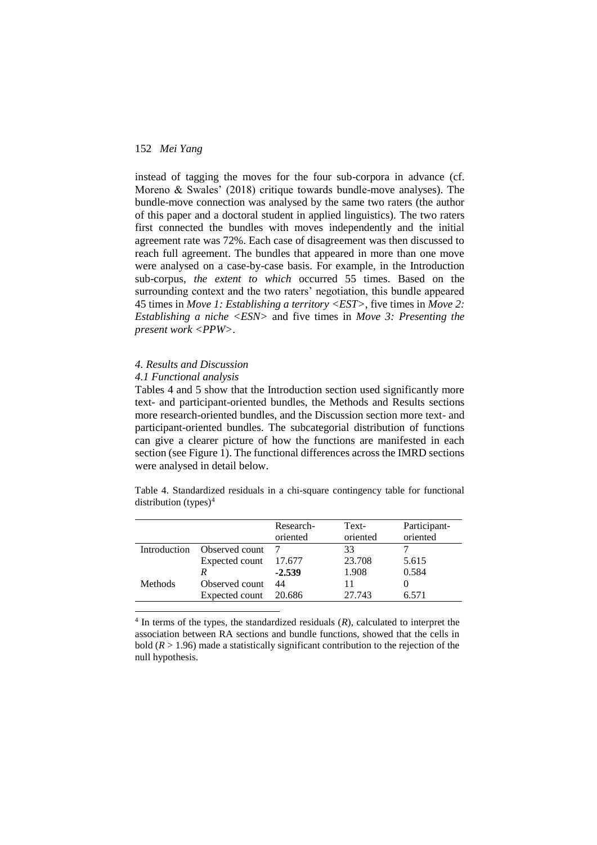instead of tagging the moves for the four sub-corpora in advance (cf. Moreno & Swales' (2018) critique towards bundle-move analyses). The bundle-move connection was analysed by the same two raters (the author of this paper and a doctoral student in applied linguistics). The two raters first connected the bundles with moves independently and the initial agreement rate was 72%. Each case of disagreement was then discussed to reach full agreement. The bundles that appeared in more than one move were analysed on a case-by-case basis. For example, in the Introduction sub-corpus, *the extent to which* occurred 55 times. Based on the surrounding context and the two raters' negotiation, this bundle appeared 45 times in *Move 1: Establishing a territory <EST>*, five times in *Move 2: Establishing a niche <ESN>* and five times in *Move 3: Presenting the present work <PPW>*.

### *4. Results and Discussion*

### *4.1 Functional analysis*

-

Tables 4 and 5 show that the Introduction section used significantly more text- and participant-oriented bundles, the Methods and Results sections more research-oriented bundles, and the Discussion section more text- and participant-oriented bundles. The subcategorial distribution of functions can give a clearer picture of how the functions are manifested in each section (see Figure 1). The functional differences across the IMRD sections were analysed in detail below.

Table 4. Standardized residuals in a chi-square contingency table for functional distribution  $(types)^4$ 

|                |                | Research- | Text-    | Participant- |
|----------------|----------------|-----------|----------|--------------|
|                |                | oriented  | oriented | oriented     |
| Introduction   | Observed count |           | 33       |              |
|                | Expected count | 17.677    | 23.708   | 5.615        |
|                |                | $-2.539$  | 1.908    | 0.584        |
| <b>Methods</b> | Observed count | 44        |          |              |
|                | Expected count | 20.686    | 27.743   | 6.571        |
|                |                |           |          |              |

 $4$  In terms of the types, the standardized residuals  $(R)$ , calculated to interpret the association between RA sections and bundle functions, showed that the cells in bold  $(R > 1.96)$  made a statistically significant contribution to the rejection of the null hypothesis.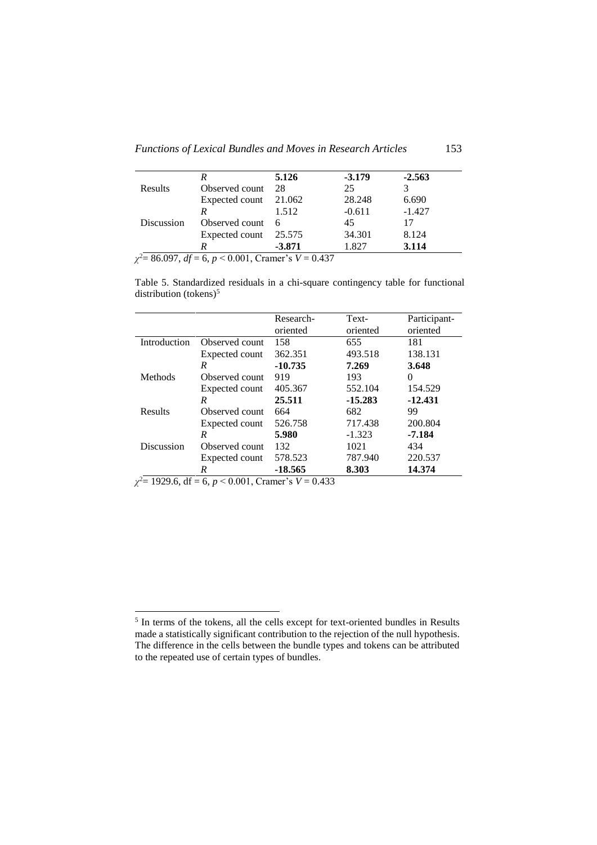*Functions of Lexical Bundles and Moves in Research Articles* 153

|            |                       | 5.126    | $-3.179$ | $-2.563$ |
|------------|-----------------------|----------|----------|----------|
| Results    | Observed count        | 28       | 25       |          |
|            | Expected count 21.062 |          | 28.248   | 6.690    |
|            |                       | 1.512    | $-0.611$ | $-1.427$ |
| Discussion | Observed count        | 6        | 45       | 17       |
|            | Expected count 25.575 |          | 34.301   | 8.124    |
|            |                       | $-3.871$ | 1.827    | 3.114    |

*χ* <sup>2</sup>= 86.097, *df* = 6, *p* < 0.001, Cramer's *V* = 0.437

Table 5. Standardized residuals in a chi-square contingency table for functional distribution (tokens) $5$ 

|              |                | Research- | Text-     | Participant- |
|--------------|----------------|-----------|-----------|--------------|
|              |                | oriented  | oriented  | oriented     |
| Introduction | Observed count | 158       | 655       | 181          |
|              | Expected count | 362.351   | 493.518   | 138.131      |
|              | R              | $-10.735$ | 7.269     | 3.648        |
| Methods      | Observed count | 919       | 193       | 0            |
|              | Expected count | 405.367   | 552.104   | 154.529      |
|              | R              | 25.511    | $-15.283$ | $-12.431$    |
| Results      | Observed count | 664       | 682       | 99           |
|              | Expected count | 526.758   | 717.438   | 200.804      |
|              | R              | 5.980     | $-1.323$  | $-7.184$     |
| Discussion   | Observed count | 132       | 1021      | 434          |
|              | Expected count | 578.523   | 787.940   | 220.537      |
|              | R              | -18.565   | 8.303     | 14.374       |

*χ* <sup>2</sup>= 1929.6, df = 6, *p* < 0.001, Cramer's *V* = 0.433

-

<sup>&</sup>lt;sup>5</sup> In terms of the tokens, all the cells except for text-oriented bundles in Results made a statistically significant contribution to the rejection of the null hypothesis. The difference in the cells between the bundle types and tokens can be attributed to the repeated use of certain types of bundles.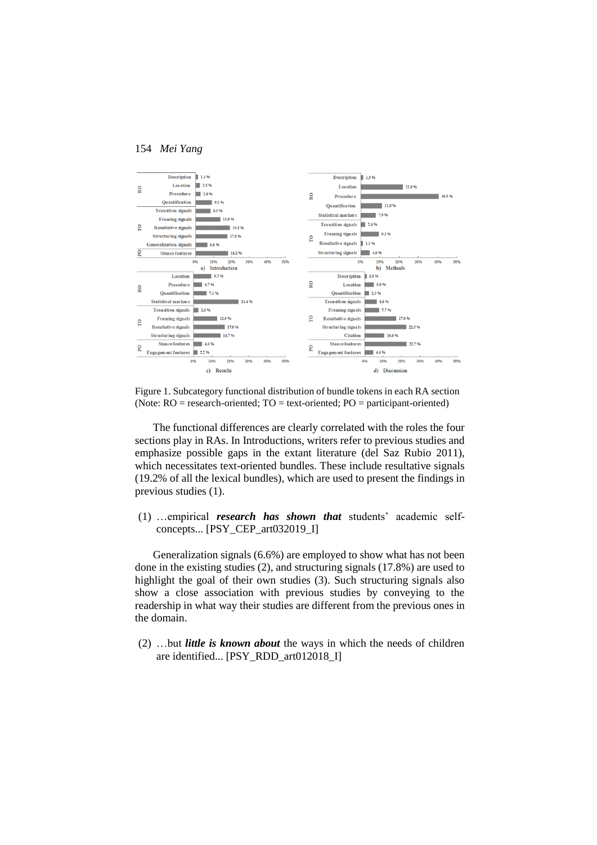

Figure 1. Subcategory functional distribution of bundle tokens in each RA section (Note:  $RO = research-oriented$ ;  $TO = text-oriented$ ;  $PO = participant-oriented$ )

The functional differences are clearly correlated with the roles the four sections play in RAs. In Introductions, writers refer to previous studies and emphasize possible gaps in the extant literature (del Saz Rubio 2011), which necessitates text-oriented bundles. These include resultative signals (19.2% of all the lexical bundles), which are used to present the findings in previous studies (1).

(1) …empirical *research has shown that* students' academic selfconcepts... [PSY\_CEP\_art032019\_I]

Generalization signals (6.6%) are employed to show what has not been done in the existing studies (2), and structuring signals (17.8%) are used to highlight the goal of their own studies (3). Such structuring signals also show a close association with previous studies by conveying to the readership in what way their studies are different from the previous ones in the domain.

(2) …but *little is known about* the ways in which the needs of children are identified... [PSY\_RDD\_art012018\_I]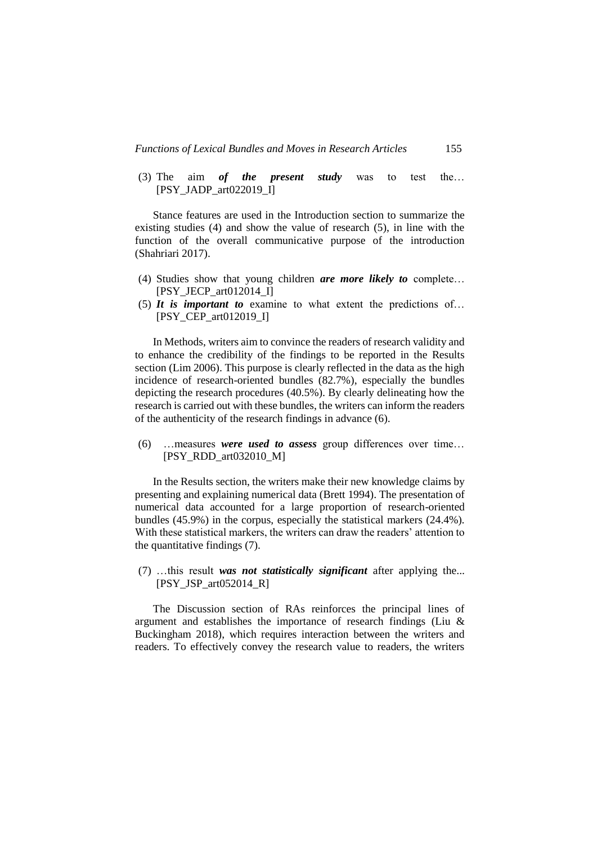(3) The aim *of the present study* was to test the… [PSY\_JADP\_art022019\_I]

Stance features are used in the Introduction section to summarize the existing studies (4) and show the value of research (5), in line with the function of the overall communicative purpose of the introduction (Shahriari 2017).

- (4) Studies show that young children *are more likely to* complete… [PSY\_JECP\_art012014\_I]
- (5) *It is important to* examine to what extent the predictions of… [PSY\_CEP\_art012019\_I]

In Methods, writers aim to convince the readers of research validity and to enhance the credibility of the findings to be reported in the Results section (Lim 2006). This purpose is clearly reflected in the data as the high incidence of research-oriented bundles (82.7%), especially the bundles depicting the research procedures (40.5%). By clearly delineating how the research is carried out with these bundles, the writers can inform the readers of the authenticity of the research findings in advance (6).

(6) …measures *were used to assess* group differences over time… [PSY\_RDD\_art032010\_M]

In the Results section, the writers make their new knowledge claims by presenting and explaining numerical data (Brett 1994). The presentation of numerical data accounted for a large proportion of research-oriented bundles (45.9%) in the corpus, especially the statistical markers (24.4%). With these statistical markers, the writers can draw the readers' attention to the quantitative findings (7).

(7) …this result *was not statistically significant* after applying the... [PSY JSP art $052014$  R]

The Discussion section of RAs reinforces the principal lines of argument and establishes the importance of research findings (Liu & Buckingham 2018), which requires interaction between the writers and readers. To effectively convey the research value to readers, the writers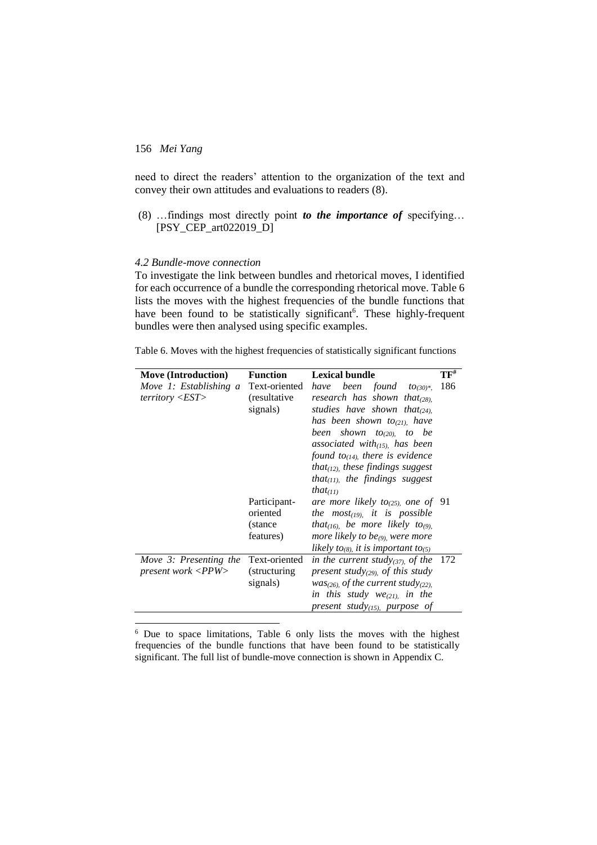1

need to direct the readers' attention to the organization of the text and convey their own attitudes and evaluations to readers (8).

(8) …findings most directly point *to the importance of* specifying… [PSY\_CEP\_art022019\_D]

## *4.2 Bundle-move connection*

To investigate the link between bundles and rhetorical moves, I identified for each occurrence of a bundle the corresponding rhetorical move. Table 6 lists the moves with the highest frequencies of the bundle functions that have been found to be statistically significant<sup>6</sup>. These highly-frequent bundles were then analysed using specific examples.

|  |  | Table 6. Moves with the highest frequencies of statistically significant functions |
|--|--|------------------------------------------------------------------------------------|
|  |  |                                                                                    |

| <b>Move (Introduction)</b> | <b>Function</b> | <b>Lexical bundle</b>                                        | $\mathbf T \mathbf F^{\text{\tt\#}}$ |
|----------------------------|-----------------|--------------------------------------------------------------|--------------------------------------|
| Move 1: Establishing a     | Text-oriented   | have been found<br>$10(30)$ *.                               | 186                                  |
| $\text{territory} < EST$   | (resultative)   | research has shown that $(28)$ ,                             |                                      |
|                            | signals)        | studies have shown that $_{(24)}$                            |                                      |
|                            |                 | has been shown to <sub>(21)</sub> , have                     |                                      |
|                            |                 | been shown to <sub>(20)</sub> , to be                        |                                      |
|                            |                 | associated with $_{(15)}$ has been                           |                                      |
|                            |                 | found to <sub>(14)</sub> there is evidence                   |                                      |
|                            |                 | that <sub>(12)</sub> these findings suggest                  |                                      |
|                            |                 | that <sub>(11)</sub> , the findings suggest                  |                                      |
|                            |                 | that $(t)$                                                   |                                      |
|                            | Participant-    | are more likely to <sub>(25)</sub> one of 91                 |                                      |
|                            | oriented        | the most <sub>(19)</sub> it is possible                      |                                      |
|                            | (stance)        | that <sub>(16)</sub> , be more likely to <sub>(9)</sub> ,    |                                      |
|                            | features)       | more likely to be <sub>(9),</sub> were more                  |                                      |
|                            |                 | likely to <sub>(8)</sub> , it is important to <sub>(5)</sub> |                                      |
| Move 3: Presenting the     | Text-oriented   | in the current study(37), of the 172                         |                                      |
| present work < PPW>        | (structuring)   | present study(29) of this study                              |                                      |
|                            | signals)        | $was(26)$ of the current study <sub>(22)</sub>               |                                      |
|                            |                 | in this study $we_{(21)}$ in the                             |                                      |
|                            |                 | present study $_{(15)}$ , purpose of                         |                                      |

 $6$  Due to space limitations, Table 6 only lists the moves with the highest frequencies of the bundle functions that have been found to be statistically significant. The full list of bundle-move connection is shown in Appendix C.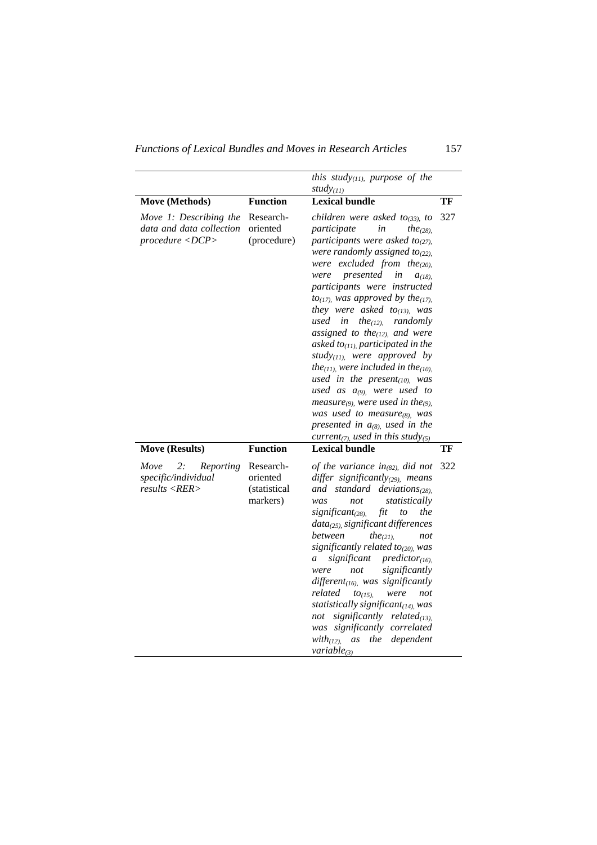*Functions of Lexical Bundles and Moves in Research Articles* 157

|                                                                       |                                                   | this study $_{(11)}$ , purpose of the<br>study $(11)$                                                                                                                                                                                                                                                                                                                                                                                                                                                                                                                                                                                                                                                                                                                                                                                                                              |     |
|-----------------------------------------------------------------------|---------------------------------------------------|------------------------------------------------------------------------------------------------------------------------------------------------------------------------------------------------------------------------------------------------------------------------------------------------------------------------------------------------------------------------------------------------------------------------------------------------------------------------------------------------------------------------------------------------------------------------------------------------------------------------------------------------------------------------------------------------------------------------------------------------------------------------------------------------------------------------------------------------------------------------------------|-----|
| Move (Methods)                                                        | <b>Function</b>                                   | <b>Lexical bundle</b>                                                                                                                                                                                                                                                                                                                                                                                                                                                                                                                                                                                                                                                                                                                                                                                                                                                              | TF  |
| Move 1: Describing the<br>data and data collection<br>procedure < DCP | Research-<br>oriented<br>(procedure)              | children were asked to <sub>(33)</sub> , to<br>participate<br>in<br>the <sub>(28)</sub> ,<br>participants were asked to <sub>(27)</sub> .<br>were randomly assigned to $_{(22)}$ ,<br>were excluded from the $(20)$ ,<br>presented<br>were<br>in<br>$a_{(18)}$<br>participants were instructed<br>to <sub>(17)</sub> , was approved by the <sub>(17)</sub> ,<br>they were asked to <sub>(13)</sub> , was<br>used in<br>the <sub>(12)</sub> , randomly<br>assigned to the $(12)$ , and were<br>asked to <sub>(11)</sub> participated in the<br>study(11), were approved by<br>the <sub>(11)</sub> , were included in the <sub>(10)</sub> ,<br>used in the present $(10)$ , was<br>used as $a_{(9)}$ , were used to<br>measure(9), were used in the(9),<br>was used to measure $(s)$ , was<br>presented in $a_{(8)}$ , used in the<br>current <sub>(7)</sub> , used in this study(5) | 327 |
| <b>Move (Results)</b>                                                 | <b>Function</b>                                   | <b>Lexical bundle</b>                                                                                                                                                                                                                                                                                                                                                                                                                                                                                                                                                                                                                                                                                                                                                                                                                                                              | TF  |
| 2:<br>Move<br>Reporting<br>specific/individual<br>results < RER       | Research-<br>oriented<br>(statistical<br>markers) | of the variance in <sub>(82)</sub> did not<br>differ significantly $(29)$ , means<br>and standard<br>deviations <sub>(28)</sub><br>statistically<br>was<br>not<br>significant <sub>(28)</sub><br>fit<br>the<br>to<br>$data(25)$ , significant differences<br>between<br>the <sub>(21)</sub> .<br>not<br>significantly related to <sub>(20)</sub> , was<br>significant<br>predictor <sub>(16)</sub><br>a<br>significantly<br>were<br>not<br>different $_{(16)}$ , was significantly<br>related<br>were<br>$to(15)$ .<br>not<br>statistically significant $(14)$ , was<br>significantly related $_{(13)}$<br>not<br>was significantly correlated<br>dependent<br>$with_{(12)}$<br>as<br>the<br>variable $(3)$                                                                                                                                                                        | 322 |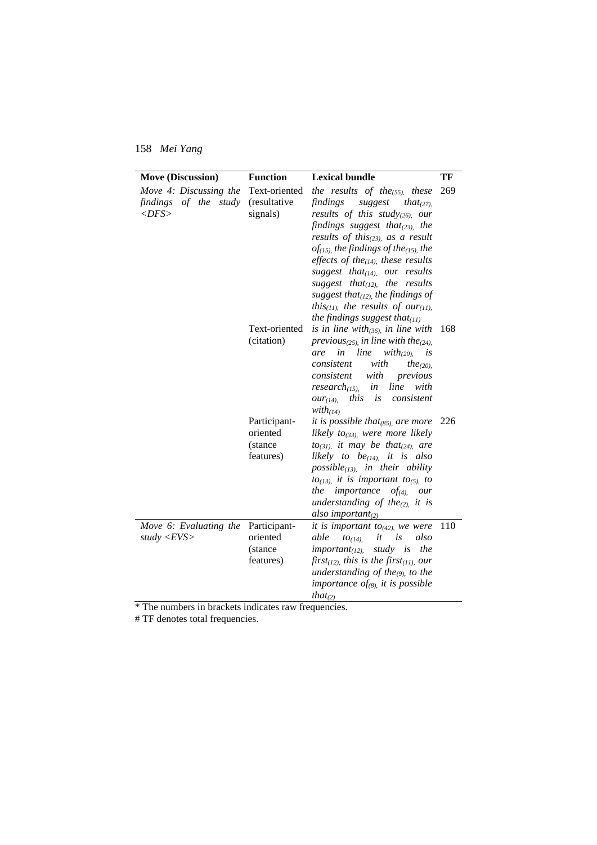| <b>Move (Discussion)</b>    | <b>Function</b> | <b>Lexical bundle</b>                                           | TF  |
|-----------------------------|-----------------|-----------------------------------------------------------------|-----|
| Move 4: Discussing the      | Text-oriented   | the results of the $_{(55)}$ , these                            | 269 |
| findings of the study       | (resultative)   | findings<br>suggest<br>that $(27)$ .                            |     |
| $<\!\!DFS \!\!>$            | signals)        | results of this study(26), our                                  |     |
|                             |                 | findings suggest that $_{(23)}$ , the                           |     |
|                             |                 | results of this $_{(23)}$ , as a result                         |     |
|                             |                 | $of$ (15), the findings of the(15), the                         |     |
|                             |                 | effects of the $(14)$ , these results                           |     |
|                             |                 | suggest that $_{(14)}$ , our results                            |     |
|                             |                 | suggest that $(12)$ , the results                               |     |
|                             |                 | suggest that $_{(12)}$ , the findings of                        |     |
|                             |                 | this $_{(11)}$ , the results of our $_{(11)}$ ,                 |     |
|                             |                 | the findings suggest that $_{(11)}$                             |     |
|                             | Text-oriented   | is in line with $_{(36)}$ , in line with                        | 168 |
|                             | (citation)      | previous $_{(25)}$ in line with the $_{(24)}$ .<br>in line      |     |
|                             |                 | $with_{(20)}$<br>are<br>is<br>with<br>consistent                |     |
|                             |                 | the <sub>(20)</sub> .<br>consistent<br>with<br>previous         |     |
|                             |                 | line<br>$research_{(15)}$<br>in<br>with                         |     |
|                             |                 | this<br>consistent<br>OUT(14)<br>is                             |     |
|                             |                 | $with_{(14)}$                                                   |     |
|                             | Participant-    | it is possible that $_{(85)}$ are more                          | 226 |
|                             | oriented        | likely to <sub>(33)</sub> , were more likely                    |     |
|                             | (stance)        | $to_{(31)}$ , it may be that <sub>(24)</sub> , are              |     |
|                             | features)       | likely to be <sub>(14)</sub> it is also                         |     |
|                             |                 | $possible_{(13)}$ , in their ability                            |     |
|                             |                 | $to$ <sub>(13)</sub> , it is important to <sub>(5)</sub> , to   |     |
|                             |                 | the<br><i>importance</i> $of_{(4)}$ <i>our</i>                  |     |
|                             |                 | understanding of the $(2)$ , it is                              |     |
|                             |                 | also important $_{(2)}$                                         |     |
| Move 6: Evaluating the      | Participant-    | it is important to <sub>(42)</sub> , we were                    | 110 |
| study $\langle EVS \rangle$ | oriented        | it<br>able<br>$to_{(14)}$<br>is<br>also                         |     |
|                             | (stance)        | study is<br>important <sub>(12)</sub><br>the                    |     |
|                             | features)       | first <sub>(12)</sub> , this is the first <sub>(11)</sub> , our |     |
|                             |                 | understanding of the <sub>(9)</sub> to the                      |     |
|                             |                 | importance of(8), it is possible                                |     |
|                             |                 | that <sub>(2)</sub>                                             |     |

\* The numbers in brackets indicates raw frequencies.

# TF denotes total frequencies.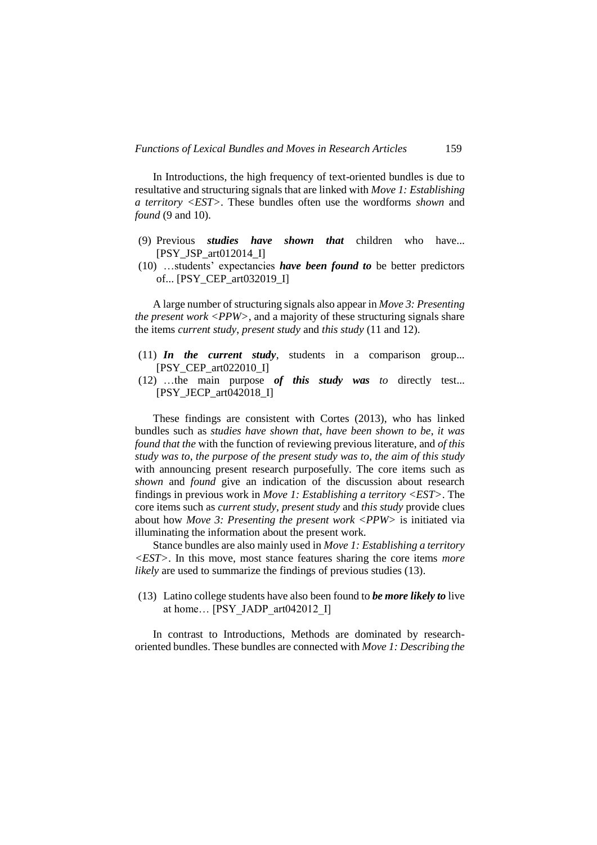In Introductions, the high frequency of text-oriented bundles is due to resultative and structuring signals that are linked with *Move 1: Establishing a territory <EST>*. These bundles often use the wordforms *shown* and *found* (9 and 10).

- (9) Previous *studies have shown that* children who have... [PSY\_JSP\_art $012014$  I]
- (10) …students' expectancies *have been found to* be better predictors of... [PSY\_CEP\_art032019\_I]

A large number of structuring signals also appear in *Move 3: Presenting the present work <PPW>*, and a majority of these structuring signals share the items *current study*, *present study* and *this study* (11 and 12).

- (11) *In the current study*, students in a comparison group... [PSY\_CEP\_art022010\_I]
- (12) …the main purpose *of this study was to* directly test... [PSY\_JECP\_art042018\_I]

These findings are consistent with Cortes (2013), who has linked bundles such as *studies have shown that*, *have been shown to be*, *it was found that the* with the function of reviewing previous literature, and *of this study was to*, *the purpose of the present study was to*, *the aim of this study* with announcing present research purposefully. The core items such as *shown* and *found* give an indication of the discussion about research findings in previous work in *Move 1: Establishing a territory <EST>*. The core items such as *current study*, *present study* and *this study* provide clues about how *Move 3: Presenting the present work <PPW>* is initiated via illuminating the information about the present work.

Stance bundles are also mainly used in *Move 1: Establishing a territory <EST>*. In this move, most stance features sharing the core items *more likely* are used to summarize the findings of previous studies (13).

(13) Latino college students have also been found to *be more likely to* live at home... [PSY\_JADP\_art042012\_I]

In contrast to Introductions, Methods are dominated by researchoriented bundles. These bundles are connected with *Move 1: Describing the*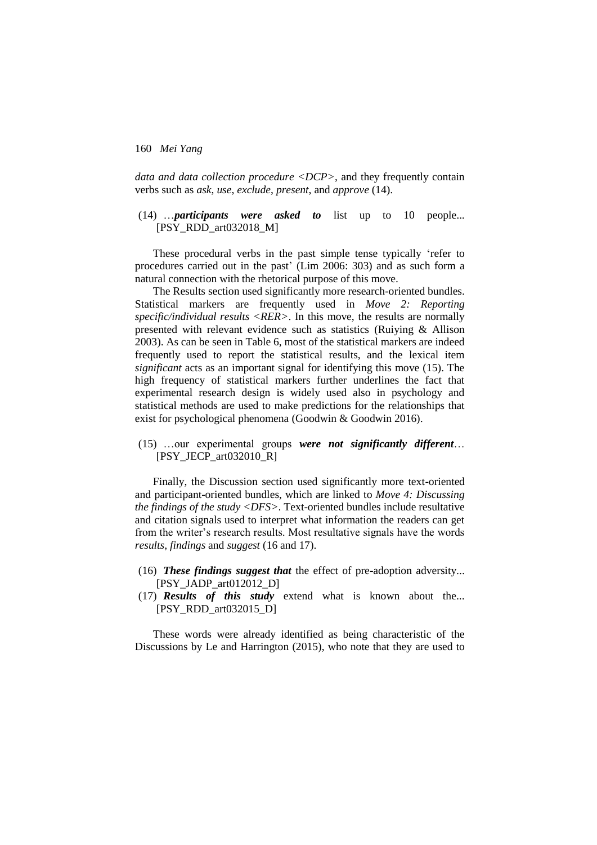*data and data collection procedure <DCP>*, and they frequently contain verbs such as *ask*, *use*, *exclude*, *present*, and *approve* (14).

(14) …*participants were asked to* list up to 10 people... [PSY\_RDD\_art032018\_M]

These procedural verbs in the past simple tense typically 'refer to procedures carried out in the past' (Lim 2006: 303) and as such form a natural connection with the rhetorical purpose of this move.

The Results section used significantly more research-oriented bundles. Statistical markers are frequently used in *Move 2: Reporting specific/individual results <RER>*. In this move, the results are normally presented with relevant evidence such as statistics (Ruiying & Allison 2003). As can be seen in Table 6, most of the statistical markers are indeed frequently used to report the statistical results, and the lexical item *significant* acts as an important signal for identifying this move (15). The high frequency of statistical markers further underlines the fact that experimental research design is widely used also in psychology and statistical methods are used to make predictions for the relationships that exist for psychological phenomena (Goodwin & Goodwin 2016).

(15) …our experimental groups *were not significantly different*… [PSY\_JECP\_art032010\_R]

Finally, the Discussion section used significantly more text-oriented and participant-oriented bundles, which are linked to *Move 4: Discussing the findings of the study <DFS>*. Text-oriented bundles include resultative and citation signals used to interpret what information the readers can get from the writer's research results. Most resultative signals have the words *results*, *findings* and *suggest* (16 and 17).

- (16) *These findings suggest that* the effect of pre-adoption adversity... [PSY\_JADP\_art012012\_D]
- (17) *Results of this study* extend what is known about the... [PSY\_RDD\_art032015\_D]

These words were already identified as being characteristic of the Discussions by Le and Harrington (2015), who note that they are used to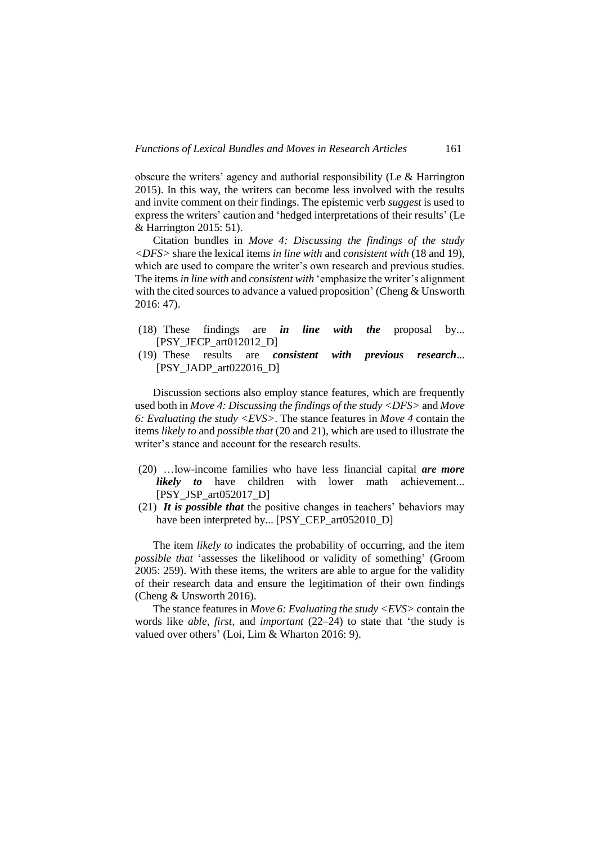obscure the writers' agency and authorial responsibility (Le & Harrington 2015). In this way, the writers can become less involved with the results and invite comment on their findings. The epistemic verb *suggest* is used to express the writers' caution and 'hedged interpretations of their results' (Le & Harrington 2015: 51).

Citation bundles in *Move 4: Discussing the findings of the study <DFS>* share the lexical items *in line with* and *consistent with* (18 and 19), which are used to compare the writer's own research and previous studies. The items *in line with* and *consistent with* 'emphasize the writer's alignment with the cited sources to advance a valued proposition' (Cheng & Unsworth 2016: 47).

- (18) These findings are *in line with the* proposal by... [PSY\_JECP\_art012012\_D]
- (19) These results are *consistent with previous research*... [PSY\_JADP\_art022016\_D]

Discussion sections also employ stance features, which are frequently used both in *Move 4: Discussing the findings of the study <DFS>* and *Move 6: Evaluating the study <EVS>*. The stance features in *Move 4* contain the items *likely to* and *possible that* (20 and 21), which are used to illustrate the writer's stance and account for the research results.

- (20) …low-income families who have less financial capital *are more likely to* have children with lower math achievement... [PSY\_JSP\_art052017\_D]
- (21) *It is possible that* the positive changes in teachers' behaviors may have been interpreted by... [PSY\_CEP\_art052010\_D]

The item *likely to* indicates the probability of occurring, and the item *possible that* 'assesses the likelihood or validity of something' (Groom 2005: 259). With these items, the writers are able to argue for the validity of their research data and ensure the legitimation of their own findings (Cheng & Unsworth 2016).

The stance features in *Move 6: Evaluating the study <EVS>* contain the words like *able*, *first*, and *important* (22–24) to state that 'the study is valued over others' (Loi, Lim & Wharton 2016: 9).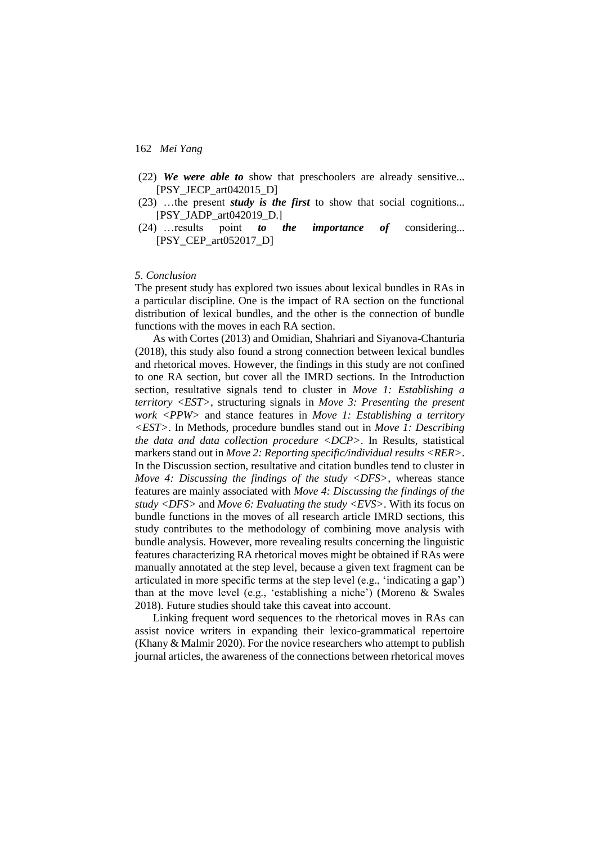- (22) *We were able to* show that preschoolers are already sensitive... [PSY\_JECP\_art042015\_D]
- (23) …the present *study is the first* to show that social cognitions... [PSY\_JADP\_art042019\_D.]
- (24) …results point *to the importance of* considering... [PSY\_CEP\_art052017\_D]

#### *5. Conclusion*

The present study has explored two issues about lexical bundles in RAs in a particular discipline. One is the impact of RA section on the functional distribution of lexical bundles, and the other is the connection of bundle functions with the moves in each RA section.

As with Cortes (2013) and Omidian, Shahriari and Siyanova-Chanturia (2018), this study also found a strong connection between lexical bundles and rhetorical moves. However, the findings in this study are not confined to one RA section, but cover all the IMRD sections. In the Introduction section, resultative signals tend to cluster in *Move 1: Establishing a territory <EST>*, structuring signals in *Move 3: Presenting the present work <PPW>* and stance features in *Move 1: Establishing a territory <EST>*. In Methods, procedure bundles stand out in *Move 1: Describing the data and data collection procedure <DCP>*. In Results, statistical markers stand out in *Move 2: Reporting specific/individual results <RER>*. In the Discussion section, resultative and citation bundles tend to cluster in *Move 4: Discussing the findings of the study <DFS>*, whereas stance features are mainly associated with *Move 4: Discussing the findings of the study <DFS>* and *Move 6: Evaluating the study <EVS>*. With its focus on bundle functions in the moves of all research article IMRD sections, this study contributes to the methodology of combining move analysis with bundle analysis. However, more revealing results concerning the linguistic features characterizing RA rhetorical moves might be obtained if RAs were manually annotated at the step level, because a given text fragment can be articulated in more specific terms at the step level (e.g., 'indicating a gap') than at the move level (e.g., 'establishing a niche') (Moreno & Swales 2018). Future studies should take this caveat into account.

Linking frequent word sequences to the rhetorical moves in RAs can assist novice writers in expanding their lexico-grammatical repertoire (Khany & Malmir 2020). For the novice researchers who attempt to publish journal articles, the awareness of the connections between rhetorical moves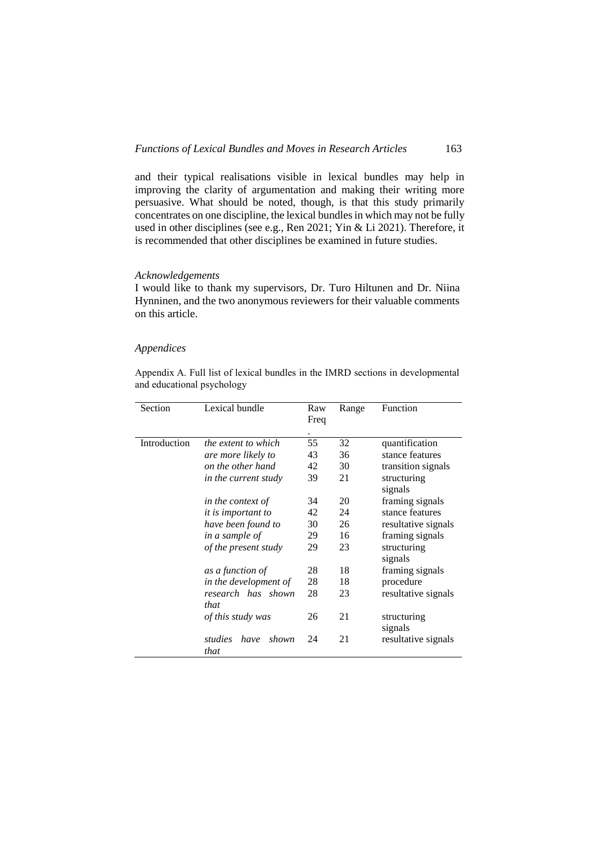and their typical realisations visible in lexical bundles may help in improving the clarity of argumentation and making their writing more persuasive. What should be noted, though, is that this study primarily concentrates on one discipline, the lexical bundles in which may not be fully used in other disciplines (see e.g., Ren 2021; Yin & Li 2021). Therefore, it is recommended that other disciplines be examined in future studies.

### *Acknowledgements*

I would like to thank my supervisors, Dr. Turo Hiltunen and Dr. Niina Hynninen, and the two anonymous reviewers for their valuable comments on this article.

#### *Appendices*

Appendix A. Full list of lexical bundles in the IMRD sections in developmental and educational psychology

| Section      | Lexical bundle              | Raw<br>Freq     | Range | Function            |
|--------------|-----------------------------|-----------------|-------|---------------------|
| Introduction | <i>the extent to which</i>  | $\bullet$<br>55 | 32    | quantification      |
|              | are more likely to          | 43              | 36    | stance features     |
|              | on the other hand           | 42              | 30    | transition signals  |
|              | <i>in the current study</i> | 39              | 21    | structuring         |
|              |                             |                 |       | signals             |
|              | in the context of           | 34              | 20    | framing signals     |
|              | <i>it is important to</i>   | 42              | 24    | stance features     |
|              | have been found to          | 30              | 26    | resultative signals |
|              | in a sample of              | 29              | 16    | framing signals     |
|              | of the present study        | 29              | 23    | structuring         |
|              |                             |                 |       | signals             |
|              | as a function of            | 28              | 18    | framing signals     |
|              | in the development of       | 28              | 18    | procedure           |
|              | research has shown          | 28              | 23    | resultative signals |
|              | that                        |                 |       |                     |
|              | of this study was           | 26              | 21    | structuring         |
|              |                             |                 |       | signals             |
|              | studies<br>shown<br>have    | 24              | 21    | resultative signals |
|              | that                        |                 |       |                     |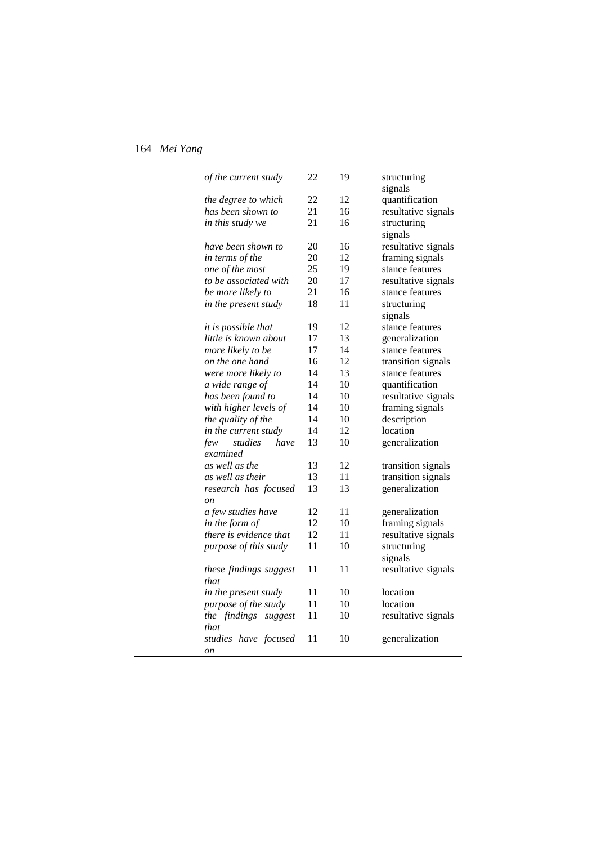$\overline{a}$ 

 $\sim$ 

| of the current study       | 22 | 19 | structuring         |
|----------------------------|----|----|---------------------|
|                            |    |    | signals             |
| the degree to which        | 22 | 12 | quantification      |
| has been shown to          | 21 | 16 | resultative signals |
| in this study we           | 21 | 16 | structuring         |
|                            |    |    | signals             |
| have been shown to         | 20 | 16 | resultative signals |
| in terms of the            | 20 | 12 | framing signals     |
| one of the most            | 25 | 19 | stance features     |
| to be associated with      | 20 | 17 | resultative signals |
| be more likely to          | 21 | 16 | stance features     |
| in the present study       | 18 | 11 | structuring         |
|                            |    |    | signals             |
| <i>it is possible that</i> | 19 | 12 | stance features     |
| little is known about      | 17 | 13 | generalization      |
| more likely to be          | 17 | 14 | stance features     |
| on the one hand            | 16 | 12 | transition signals  |
| were more likely to        | 14 | 13 | stance features     |
| a wide range of            | 14 | 10 | quantification      |
| has been found to          | 14 | 10 | resultative signals |
| with higher levels of      | 14 | 10 | framing signals     |
| the quality of the         | 14 | 10 | description         |
| in the current study       | 14 | 12 | location            |
| studies<br>have<br>few     | 13 | 10 | generalization      |
| examined                   |    |    |                     |
| as well as the             | 13 | 12 | transition signals  |
| as well as their           | 13 | 11 | transition signals  |
| research has focused       | 13 | 13 | generalization      |
| <sub>on</sub>              |    |    |                     |
| a few studies have         | 12 | 11 | generalization      |
| in the form of             | 12 | 10 | framing signals     |
| there is evidence that     | 12 | 11 | resultative signals |
| purpose of this study      | 11 | 10 | structuring         |
|                            |    |    | signals             |
| these findings suggest     | 11 | 11 | resultative signals |
| that                       |    |    |                     |
| in the present study       | 11 | 10 | location            |
| purpose of the study       | 11 | 10 | location            |
| the findings suggest       | 11 | 10 | resultative signals |
| that                       |    |    |                     |
| studies have focused       | 11 | 10 | generalization      |
| on                         |    |    |                     |
|                            |    |    |                     |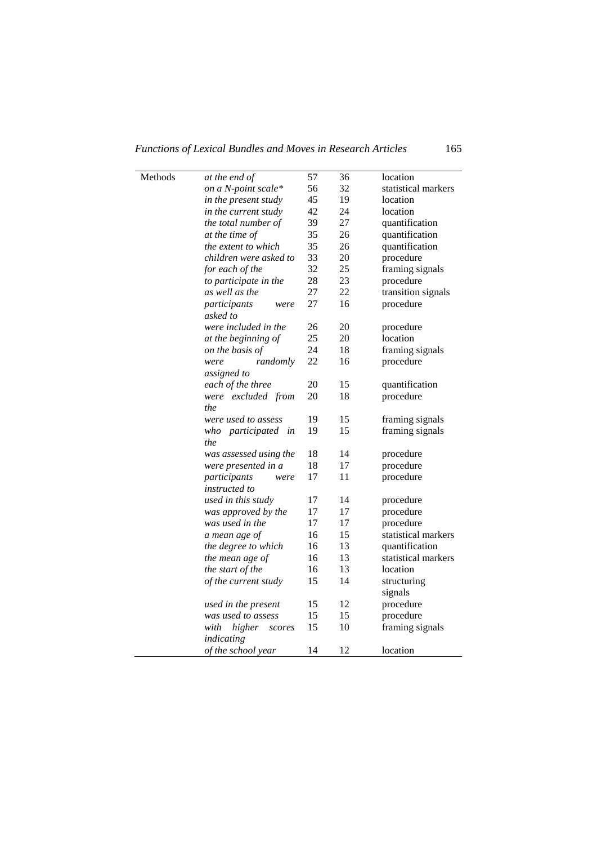| Methods | at the end of              | 57 | 36 | location            |
|---------|----------------------------|----|----|---------------------|
|         | on a N-point scale*        | 56 | 32 | statistical markers |
|         | in the present study       | 45 | 19 | location            |
|         | in the current study       | 42 | 24 | location            |
|         | the total number of        | 39 | 27 | quantification      |
|         | at the time of             | 35 | 26 | quantification      |
|         | <i>the extent to which</i> | 35 | 26 | quantification      |
|         | children were asked to     | 33 | 20 | procedure           |
|         | for each of the            | 32 | 25 | framing signals     |
|         | to participate in the      | 28 | 23 | procedure           |
|         | as well as the             | 27 | 22 | transition signals  |
|         | participants<br>were       | 27 | 16 | procedure           |
|         | asked to                   |    |    |                     |
|         | were included in the       | 26 | 20 | procedure           |
|         | at the beginning of        | 25 | 20 | location            |
|         | on the basis of            | 24 | 18 | framing signals     |
|         | randomly<br>were           | 22 | 16 | procedure           |
|         | assigned to                |    |    |                     |
|         | each of the three          | 20 | 15 | quantification      |
|         | were excluded from         | 20 | 18 | procedure           |
|         | the                        |    |    |                     |
|         | were used to assess        | 19 | 15 | framing signals     |
|         | participated in<br>who     | 19 | 15 | framing signals     |
|         | the                        |    |    |                     |
|         | was assessed using the     | 18 | 14 | procedure           |
|         | were presented in a        | 18 | 17 | procedure           |
|         | participants<br>were       | 17 | 11 | procedure           |
|         | <i>instructed to</i>       |    |    |                     |
|         | used in this study         | 17 | 14 | procedure           |
|         | was approved by the        | 17 | 17 | procedure           |
|         | was used in the            | 17 | 17 | procedure           |
|         | a mean age of              | 16 | 15 | statistical markers |
|         | the degree to which        | 16 | 13 | quantification      |
|         | the mean age of            | 16 | 13 | statistical markers |
|         | the start of the           | 16 | 13 | location            |
|         | of the current study       | 15 | 14 | structuring         |
|         |                            |    |    | signals             |
|         | used in the present        | 15 | 12 | procedure           |
|         | was used to assess         | 15 | 15 | procedure           |
|         | with<br>higher<br>scores   | 15 | 10 | framing signals     |
|         | indicating                 |    |    |                     |
|         | of the school year         | 14 | 12 | location            |
|         |                            |    |    |                     |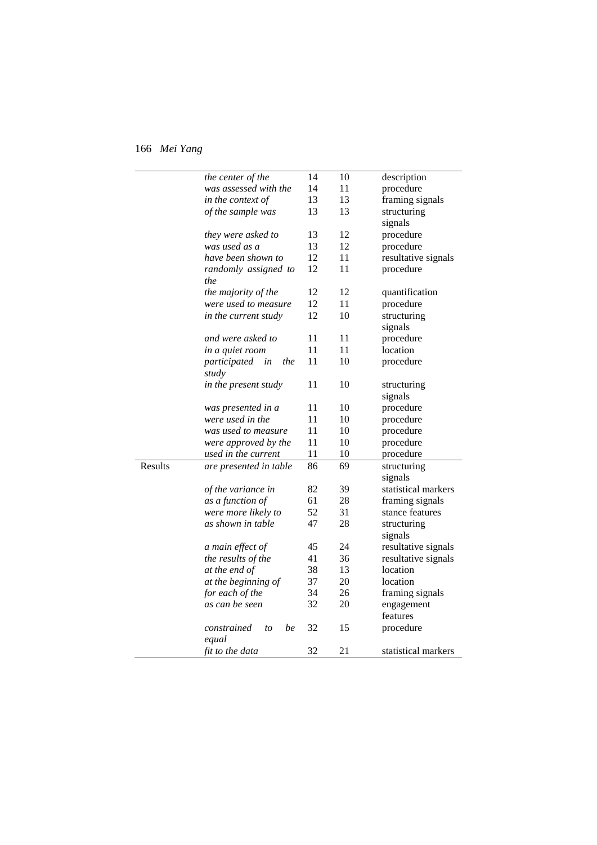|         | the center of the         | 14 | 10 | description         |
|---------|---------------------------|----|----|---------------------|
|         | was assessed with the     | 14 | 11 | procedure           |
|         | in the context of         | 13 | 13 | framing signals     |
|         | of the sample was         | 13 | 13 | structuring         |
|         |                           |    |    | signals             |
|         | they were asked to        | 13 | 12 | procedure           |
|         | was used as a             | 13 | 12 | procedure           |
|         | have been shown to        | 12 | 11 | resultative signals |
|         | randomly assigned to      | 12 | 11 | procedure           |
|         | the                       |    |    |                     |
|         | the majority of the       | 12 | 12 | quantification      |
|         | were used to measure      | 12 | 11 | procedure           |
|         | in the current study      | 12 | 10 | structuring         |
|         |                           |    |    | signals             |
|         | and were asked to         | 11 | 11 | procedure           |
|         | in a quiet room           | 11 | 11 | location            |
|         | participated<br>the<br>in | 11 | 10 | procedure           |
|         | study                     |    |    |                     |
|         | in the present study      | 11 | 10 | structuring         |
|         |                           |    |    | signals             |
|         | was presented in a        | 11 | 10 | procedure           |
|         | were used in the          | 11 | 10 | procedure           |
|         | was used to measure       | 11 | 10 | procedure           |
|         | were approved by the      | 11 | 10 | procedure           |
|         | used in the current       | 11 | 10 | procedure           |
| Results | are presented in table    | 86 | 69 | structuring         |
|         |                           |    |    | signals             |
|         | of the variance in        | 82 | 39 | statistical markers |
|         | as a function of          | 61 | 28 | framing signals     |
|         | were more likely to       | 52 | 31 | stance features     |
|         | as shown in table         | 47 | 28 | structuring         |
|         |                           |    |    | signals             |
|         | a main effect of          | 45 | 24 | resultative signals |
|         | the results of the        | 41 | 36 | resultative signals |
|         | at the end of             | 38 | 13 | location            |
|         | at the beginning of       | 37 | 20 | location            |
|         | for each of the           | 34 | 26 | framing signals     |
|         | as can be seen            | 32 | 20 | engagement          |
|         |                           |    |    | features            |
|         | constrained<br>be<br>to   | 32 | 15 | procedure           |
|         | equal                     |    |    |                     |
|         | fit to the data           | 32 | 21 | statistical markers |
|         |                           |    |    |                     |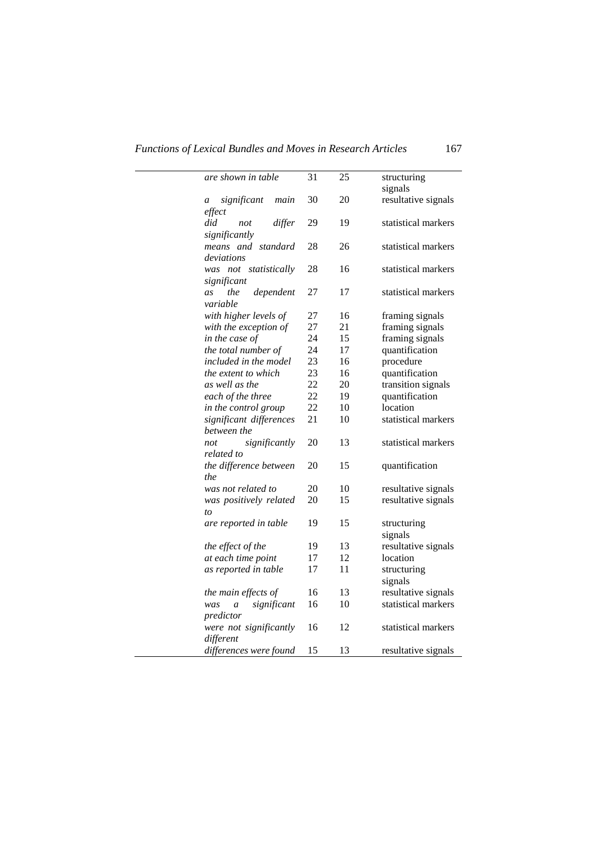*Functions of Lexical Bundles and Moves in Research Articles* 167

 $\overline{a}$ 

| are shown in table                                | 31 | 25 | structuring<br>signals |
|---------------------------------------------------|----|----|------------------------|
| significant<br>main<br>$\boldsymbol{a}$<br>effect | 30 | 20 | resultative signals    |
| did<br>differ<br>not<br>significantly             | 29 | 19 | statistical markers    |
| means and standard<br>deviations                  | 28 | 26 | statistical markers    |
| was not statistically<br>significant              | 28 | 16 | statistical markers    |
| the<br>dependent<br>as<br>variable                | 27 | 17 | statistical markers    |
| with higher levels of                             | 27 | 16 | framing signals        |
| with the exception of                             | 27 | 21 | framing signals        |
| in the case of                                    | 24 | 15 | framing signals        |
| the total number of                               | 24 | 17 | quantification         |
| included in the model                             | 23 | 16 | procedure              |
| <i>the extent to which</i>                        | 23 | 16 | quantification         |
| as well as the                                    | 22 | 20 | transition signals     |
| each of the three                                 | 22 | 19 | quantification         |
| in the control group                              | 22 | 10 | location               |
|                                                   | 21 |    | statistical markers    |
| significant differences<br>between the            |    | 10 |                        |
| significantly<br>not<br>related to                | 20 | 13 | statistical markers    |
| the difference between<br>the                     | 20 | 15 | quantification         |
| was not related to                                | 20 | 10 | resultative signals    |
| was positively related                            | 20 | 15 | resultative signals    |
| to                                                |    |    |                        |
| are reported in table                             | 19 | 15 | structuring<br>signals |
| the effect of the                                 | 19 | 13 | resultative signals    |
| at each time point                                | 17 | 12 | location               |
| as reported in table                              | 17 | 11 | structuring            |
|                                                   |    |    | signals                |
| the main effects of                               | 16 | 13 | resultative signals    |
| significant<br>was<br>a                           | 16 | 10 | statistical markers    |
| predictor                                         |    |    |                        |
| were not significantly<br>different               | 16 | 12 | statistical markers    |
| differences were found                            | 15 | 13 | resultative signals    |
|                                                   |    |    |                        |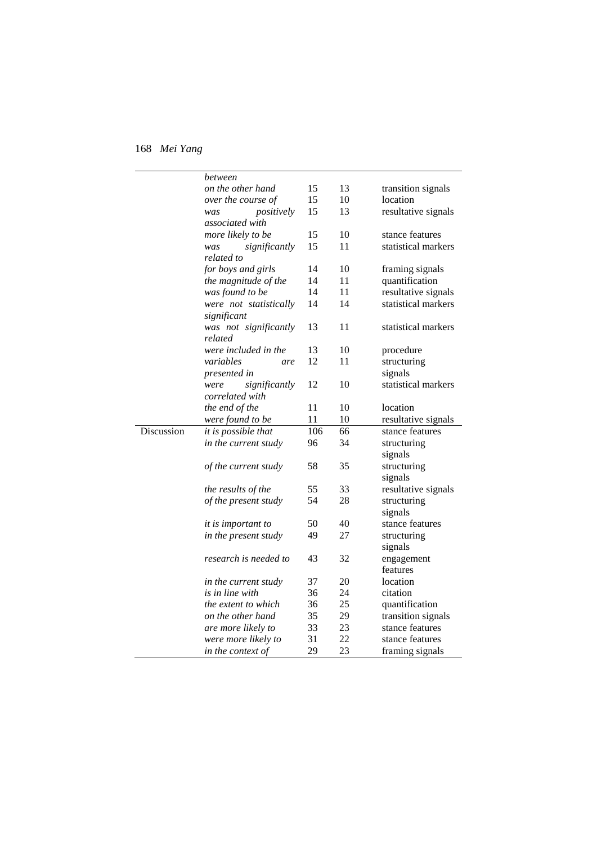|            | between                    |     |    |                     |
|------------|----------------------------|-----|----|---------------------|
|            | on the other hand          | 15  | 13 | transition signals  |
|            | over the course of         | 15  | 10 | location            |
|            | positively<br>was          | 15  | 13 | resultative signals |
|            | associated with            |     |    |                     |
|            | more likely to be          | 15  | 10 | stance features     |
|            | significantly<br>was       | 15  | 11 | statistical markers |
|            | related to                 |     |    |                     |
|            | for boys and girls         | 14  | 10 | framing signals     |
|            | the magnitude of the       | 14  | 11 | quantification      |
|            | was found to be            | 14  | 11 | resultative signals |
|            | were not statistically     | 14  | 14 | statistical markers |
|            | significant                |     |    |                     |
|            | was not significantly      | 13  | 11 | statistical markers |
|            | related                    |     |    |                     |
|            | were included in the       | 13  | 10 | procedure           |
|            | variables<br>are           | 12  | 11 | structuring         |
|            | <i>presented in</i>        |     |    | signals             |
|            | significantly<br>were      | 12  | 10 | statistical markers |
|            | correlated with            |     |    |                     |
|            | the end of the             | 11  | 10 | location            |
|            | were found to be           | 11  | 10 | resultative signals |
| Discussion | <i>it is possible that</i> | 106 | 66 | stance features     |
|            | in the current study       | 96  | 34 | structuring         |
|            |                            |     |    | signals             |
|            | of the current study       | 58  | 35 | structuring         |
|            |                            |     |    | signals             |
|            | <i>the results of the</i>  | 55  | 33 | resultative signals |
|            | of the present study       | 54  | 28 | structuring         |
|            |                            |     |    | signals             |
|            | <i>it is important to</i>  | 50  | 40 | stance features     |
|            | in the present study       | 49  | 27 | structuring         |
|            |                            |     |    | signals             |
|            | research is needed to      | 43  | 32 | engagement          |
|            |                            |     |    | features            |
|            | in the current study       | 37  | 20 | location            |
|            | is in line with            | 36  | 24 | citation            |
|            | <i>the extent to which</i> | 36  | 25 | quantification      |
|            | on the other hand          | 35  | 29 | transition signals  |
|            | are more likely to         | 33  | 23 | stance features     |
|            | were more likely to        | 31  | 22 | stance features     |
|            |                            | 29  | 23 |                     |
|            | in the context of          |     |    | framing signals     |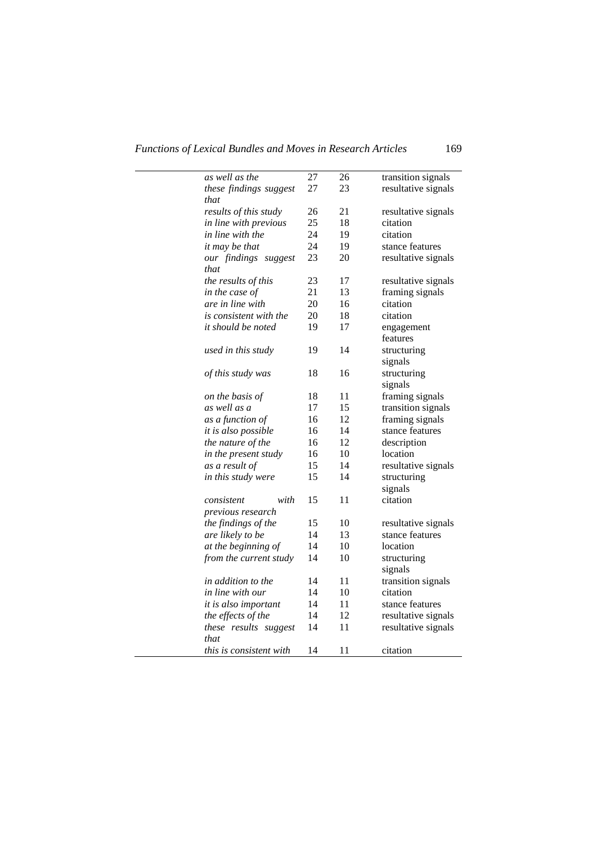*Functions of Lexical Bundles and Moves in Research Articles* 169

 $\mathbf{r}$ 

| as well as the                 | 27 | 26 | transition signals  |
|--------------------------------|----|----|---------------------|
| these findings suggest         | 27 | 23 | resultative signals |
| that                           |    |    |                     |
| results of this study          | 26 | 21 | resultative signals |
| in line with previous          | 25 | 18 | citation            |
| in line with the               | 24 | 19 | citation            |
| it may be that                 | 24 | 19 | stance features     |
| our findings suggest           | 23 | 20 | resultative signals |
| that                           |    |    |                     |
| the results of this            | 23 | 17 | resultative signals |
| in the case of                 | 21 | 13 | framing signals     |
| are in line with               | 20 | 16 | citation            |
| <i>is consistent with the</i>  | 20 | 18 | citation            |
| it should be noted             | 19 | 17 | engagement          |
|                                |    |    | features            |
| used in this study             | 19 | 14 | structuring         |
|                                |    |    | signals             |
| of this study was              | 18 | 16 | structuring         |
|                                |    |    | signals             |
| on the basis of                | 18 | 11 | framing signals     |
| as well as a                   | 17 | 15 | transition signals  |
| as a function of               | 16 | 12 | framing signals     |
| it is also possible            | 16 | 14 | stance features     |
| the nature of the              | 16 | 12 | description         |
| in the present study           | 16 | 10 | location            |
| as a result of                 | 15 | 14 | resultative signals |
| in this study were             | 15 | 14 | structuring         |
|                                |    |    | signals             |
| with<br>consistent             | 15 | 11 | citation            |
| previous research              |    |    |                     |
| the findings of the            | 15 | 10 | resultative signals |
| are likely to be               | 14 | 13 | stance features     |
| at the beginning of            | 14 | 10 | location            |
| from the current study         | 14 | 10 | structuring         |
|                                |    |    | signals             |
| in addition to the             | 14 | 11 | transition signals  |
| in line with our               | 14 | 10 | citation            |
| it is also important           | 14 | 11 | stance features     |
| the effects of the             | 14 | 12 | resultative signals |
| these results suggest          | 14 | 11 | resultative signals |
| that                           |    |    |                     |
| <i>this is consistent with</i> | 14 | 11 | citation            |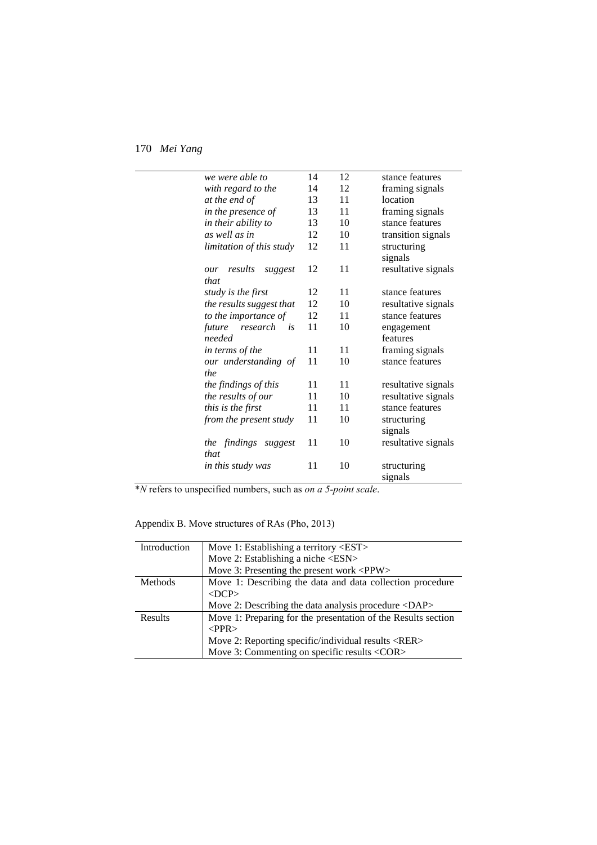| we were able to           | 14 | 12 | stance features     |
|---------------------------|----|----|---------------------|
| with regard to the        | 14 | 12 | framing signals     |
| at the end of             | 13 | 11 | location            |
| in the presence of        | 13 | 11 | framing signals     |
| in their ability to       | 13 | 10 | stance features     |
| as well as in             | 12 | 10 | transition signals  |
| limitation of this study  | 12 | 11 | structuring         |
|                           |    |    | signals             |
| results<br>suggest<br>our | 12 | 11 | resultative signals |
| that                      |    |    |                     |
| study is the first        | 12 | 11 | stance features     |
| the results suggest that  | 12 | 10 | resultative signals |
| to the importance of      | 12 | 11 | stance features     |
| research<br>future<br>is  | 11 | 10 | engagement          |
| needed                    |    |    | features            |
| in terms of the           | 11 | 11 | framing signals     |
| our understanding of      | 11 | 10 | stance features     |
| the                       |    |    |                     |
| the findings of this      | 11 | 11 | resultative signals |
| the results of our        | 11 | 10 | resultative signals |
| this is the first         | 11 | 11 | stance features     |
| from the present study    | 11 | 10 | structuring         |
|                           |    |    | signals             |
| the findings suggest      | 11 | 10 | resultative signals |
| that                      |    |    |                     |
| in this study was         | 11 | 10 | structuring         |
|                           |    |    | signals             |
|                           |    |    |                     |

\**N* refers to unspecified numbers, such as *on a 5-point scale*.

Appendix B. Move structures of RAs (Pho, 2013)

| Introduction | Move 1: Establishing a territory <est><br/>Move 2: Establishing a niche <esn></esn></est> |
|--------------|-------------------------------------------------------------------------------------------|
|              | Move 3: Presenting the present work <ppw></ppw>                                           |
| Methods      | Move 1: Describing the data and data collection procedure<br>$<$ DCP $>$                  |
|              | Move 2: Describing the data analysis procedure <dap></dap>                                |
| Results      | Move 1: Preparing for the presentation of the Results section<br>$\langle PPR \rangle$    |
|              | Move 2: Reporting specific/individual results <rer></rer>                                 |
|              | Move 3: Commenting on specific results <cor></cor>                                        |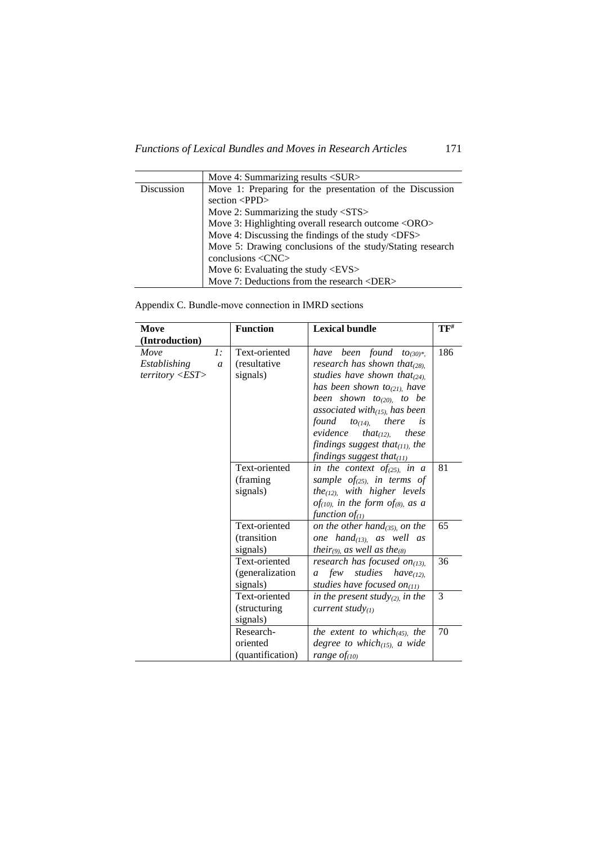|            | Move 4: Summarizing results <sur></sur>                   |
|------------|-----------------------------------------------------------|
| Discussion | Move 1: Preparing for the presentation of the Discussion  |
|            | section $\langle PPD \rangle$                             |
|            | Move 2: Summarizing the study $\langle STS \rangle$       |
|            | Move 3: Highlighting overall research outcome <oro></oro> |
|            | Move 4: Discussing the findings of the study <dfs></dfs>  |
|            | Move 5: Drawing conclusions of the study/Stating research |
|            | conclusions <cnc></cnc>                                   |
|            | Move 6: Evaluating the study $\langle$ EVS $>$            |
|            | Move 7: Deductions from the research <der></der>          |

Appendix C. Bundle-move connection in IMRD sections

| Move                                             |                        | <b>Function</b>                              | <b>Lexical bundle</b>                                                                                                                                                                                                                                                                                                                                                                         | $\mathbf{TF}^{\text{\#}}$ |
|--------------------------------------------------|------------------------|----------------------------------------------|-----------------------------------------------------------------------------------------------------------------------------------------------------------------------------------------------------------------------------------------------------------------------------------------------------------------------------------------------------------------------------------------------|---------------------------|
| (Introduction)                                   |                        |                                              |                                                                                                                                                                                                                                                                                                                                                                                               |                           |
| Move<br>Establishing<br>$\text{territory} < EST$ | 1:<br>$\boldsymbol{a}$ | Text-oriented<br>(resultative<br>signals)    | have been found to $(30)^*$ .<br>research has shown that $(28)$ .<br>studies have shown that $_{(24)}$ ,<br>has been shown to <sub>(21)</sub> , have<br>been shown to <sub>(20)</sub> to be<br>associated with $_{(15)}$ , has been<br>found<br>there<br>$to_{(14)}$<br>is<br>evidence<br>that $_{(12)}$<br>these<br>findings suggest that $_{(11)}$ , the<br>findings suggest that $_{(11)}$ | 186                       |
|                                                  |                        | Text-oriented<br>(framing)<br>signals)       | in the context of $(25)$ , in a<br>sample of $_{(25)}$ , in terms of<br>the <sub>(12)</sub> , with higher levels<br>of <sub>(10)</sub> , in the form of <sub>(8)</sub> , as a<br>function of $_{(1)}$                                                                                                                                                                                         | 81                        |
|                                                  |                        | Text-oriented<br>(transition<br>signals)     | on the other hand $_{(35)}$ on the<br>one hand $_{(13)}$ as well as<br><i>their</i> (9), as well as the <sub>(8)</sub>                                                                                                                                                                                                                                                                        | 65                        |
|                                                  |                        | Text-oriented<br>(generalization<br>signals) | research has focused on $_{(13)}$ ,<br>few studies<br>$have_{(12)}$<br>$\mathfrak{a}$<br>studies have focused on $_{(11)}$                                                                                                                                                                                                                                                                    | 36                        |
|                                                  |                        | Text-oriented<br>(structuring)<br>signals)   | in the present study $_{(2)}$ , in the<br>current study $_{(1)}$                                                                                                                                                                                                                                                                                                                              | 3                         |
|                                                  |                        | Research-<br>oriented<br>(quantification)    | the extent to which $(45)$ , the<br>degree to which $_{(15)}$ , a wide<br>range $of$ <sub>(10)</sub>                                                                                                                                                                                                                                                                                          | 70                        |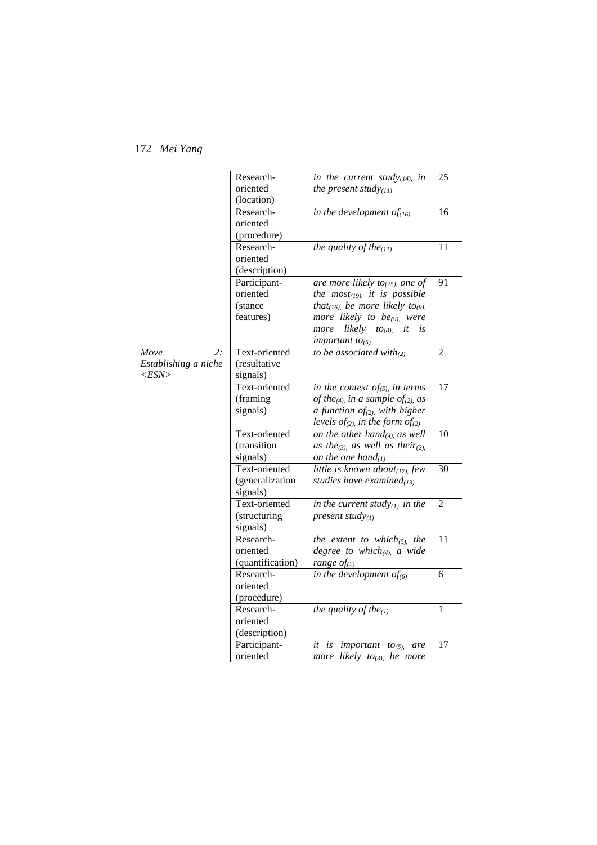|                      | Research-        | in the current study $_{(14)}$ , in                        | 25             |
|----------------------|------------------|------------------------------------------------------------|----------------|
|                      | oriented         | the present study $(11)$                                   |                |
|                      | (location)       |                                                            |                |
|                      | Research-        | in the development of $(f_{(16)})$                         | 16             |
|                      | oriented         |                                                            |                |
|                      | (procedure)      |                                                            |                |
|                      | Research-        | the quality of the $_{(11)}$                               | 11             |
|                      | oriented         |                                                            |                |
|                      | (description)    |                                                            |                |
|                      | Participant-     | are more likely to <sub>(25)</sub> , one of                | 91             |
|                      | oriented         | the $most(19)$ , it is possible                            |                |
|                      | (stance)         | that <sub>(16)</sub> , be more likely to <sub>(9)</sub> ,  |                |
|                      | features)        | more likely to be <sub>(9)</sub> , were                    |                |
|                      |                  | likely<br>more<br>$to_{(8)}$<br>it<br>is                   |                |
|                      |                  | important to <sub>(5)</sub>                                |                |
| 2:<br>Move           | Text-oriented    | to be associated with $_{(2)}$                             | $\overline{2}$ |
| Establishing a niche | (resultative     |                                                            |                |
| $<$ ESN $>$          | signals)         |                                                            |                |
|                      | Text-oriented    | in the context of <sub>(5)</sub> , in terms                | 17             |
|                      | (framing         | of the <sub>(4)</sub> , in a sample of <sub>(2)</sub> , as |                |
|                      | signals)         | a function $of_{(2)}$ , with higher                        |                |
|                      |                  | levels of <sub>(2)</sub> in the form of <sub>(2)</sub>     |                |
|                      | Text-oriented    | on the other hand $_{(4)}$ , as well                       | 10             |
|                      | (transition      | as the <sub>(3)</sub> , as well as their <sub>(2)</sub> ,  |                |
|                      | signals)         | on the one hand $_{(1)}$                                   |                |
|                      | Text-oriented    | little is known about $_{(17)}$ few                        | 30             |
|                      | (generalization  | studies have examined $_{(13)}$                            |                |
|                      | signals)         |                                                            |                |
|                      | Text-oriented    | in the current study $_{(1)}$ in the                       | 2              |
|                      | (structuring     | present study $(1)$                                        |                |
|                      | signals)         |                                                            |                |
|                      | Research-        | the extent to which $_{(5)}$ , the                         | 11             |
|                      | oriented         | degree to which $_{(4)}$ , a wide                          |                |
|                      | (quantification) | range $of_{(2)}$                                           |                |
|                      | Research-        | in the development of $_{(6)}$                             | 6              |
|                      | oriented         |                                                            |                |
|                      | (procedure)      |                                                            |                |
|                      | Research-        | the quality of the $_{(1)}$                                | 1              |
|                      | oriented         |                                                            |                |
|                      | (description)    |                                                            |                |
|                      | Participant-     | it is important<br>$to_{(5)}$<br>are                       | 17             |
|                      | oriented         | more likely to <sub>(3)</sub> , be more                    |                |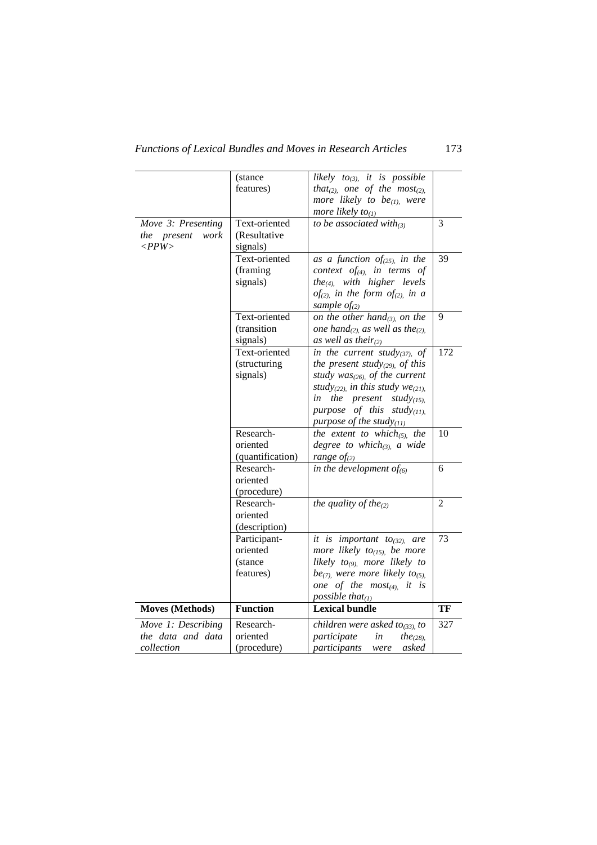|                        | (stance          | likely $to_{(3)}$ , it is possible                       |                |
|------------------------|------------------|----------------------------------------------------------|----------------|
|                        | features)        | that(2), one of the most(2),                             |                |
|                        |                  | more likely to be $_{(1)}$ , were                        |                |
|                        |                  | more likely $to_{(1)}$                                   |                |
| Move 3: Presenting     | Text-oriented    | to be associated with $_{(3)}$                           | 3              |
|                        | (Resultative     |                                                          |                |
| the present<br>work    |                  |                                                          |                |
| $\langle PPW \rangle$  | signals)         |                                                          |                |
|                        | Text-oriented    | as a function of $(25)$ , in the                         | 39             |
|                        | (framing         | context of <sub>(4)</sub> , in terms of                  |                |
|                        | signals)         | the <sub>(4)</sub> , with higher levels                  |                |
|                        |                  | of <sub>(2)</sub> , in the form of <sub>(2)</sub> , in a |                |
|                        |                  | sample $of_{(2)}$                                        |                |
|                        | Text-oriented    | on the other hand $_{(3)}$ on the                        | 9              |
|                        | (transition      | one hand $_{(2)}$ as well as the $_{(2)}$ .              |                |
|                        | signals)         | as well as their $(z)$                                   |                |
|                        | Text-oriented    | in the current study(37), of                             | 172            |
|                        | (structuring     | the present study(29), of this                           |                |
|                        | signals)         | study was $_{(26)}$ of the current                       |                |
|                        |                  | study(22), in this study $we_{(21)}$ ,                   |                |
|                        |                  | in<br>the present study $_{(15)}$                        |                |
|                        |                  | purpose of this study $_{(11)}$ ,                        |                |
|                        |                  | purpose of the study $_{(11)}$                           |                |
|                        | Research-        | the extent to which $_{(5)}$ , the                       | 10             |
|                        | oriented         | degree to which $(a_{i,j})$ , a wide                     |                |
|                        | (quantification) | range $of_{(2)}$                                         |                |
|                        | Research-        | in the development of $(6)$                              | 6              |
|                        | oriented         |                                                          |                |
|                        | (procedure)      |                                                          |                |
|                        | Research-        | the quality of the $_{(2)}$                              | $\overline{2}$ |
|                        | oriented         |                                                          |                |
|                        | (description)    |                                                          |                |
|                        | Participant-     | it is important to <sub>(32)</sub> , are                 | 73             |
|                        | oriented         | more likely to <sub>(15)</sub> , be more                 |                |
|                        | (stance          | likely $to_{(9)}$ , more likely to                       |                |
|                        | features)        | $be_{(7)}$ , were more likely to <sub>(5)</sub> .        |                |
|                        |                  | one of the $most_{(4)}$ , it is                          |                |
|                        |                  | possible that $_{(1)}$                                   |                |
| <b>Moves (Methods)</b> | <b>Function</b>  | <b>Lexical bundle</b>                                    | TF             |
| Move 1: Describing     | Research-        | children were asked to <sub>(33)</sub> , to              | 327            |
| the data and data      | oriented         | participate<br>in<br>the <sub>(28)</sub> ,               |                |
| collection             | (procedure)      | participants<br>were<br>asked                            |                |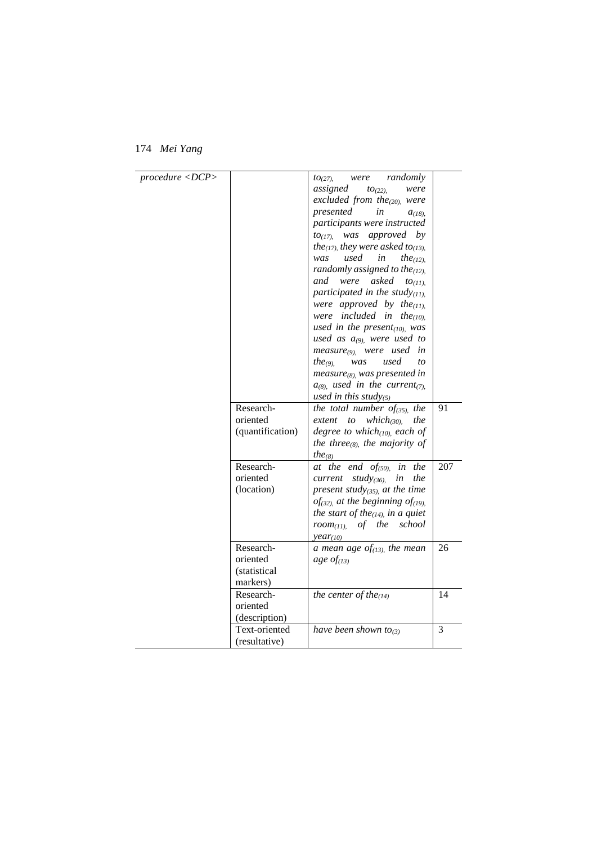| procedure < DCP |                      | randomly<br>10(27)<br>were                                 |     |
|-----------------|----------------------|------------------------------------------------------------|-----|
|                 |                      | assigned<br>$to_{(22)}$<br>were                            |     |
|                 |                      | excluded from the $_{(20)}$ were                           |     |
|                 |                      | in                                                         |     |
|                 |                      | presented<br>$a_{(18)}$                                    |     |
|                 |                      | participants were instructed                               |     |
|                 |                      | was approved by<br>10(17)                                  |     |
|                 |                      | the <sub>(17)</sub> , they were asked to <sub>(13)</sub> , |     |
|                 |                      | used<br>in<br>was<br>the <sub>(12)</sub> .                 |     |
|                 |                      | randomly assigned to the $(12)$ .                          |     |
|                 |                      | were<br>asked<br>and<br>$to_{(11)}$                        |     |
|                 |                      | participated in the study $_{(11)}$ .                      |     |
|                 |                      | were approved by the $(11)$ ,                              |     |
|                 |                      | were included in<br>the <sub>(10)</sub> .                  |     |
|                 |                      | used in the present $(10)$ , was                           |     |
|                 |                      | used as $a_{(9)}$ , were used to                           |     |
|                 |                      | measure <sub>(9),</sub> were used<br>in                    |     |
|                 |                      | the <sub>(9)</sub><br>used<br>was<br>to                    |     |
|                 |                      | $measure_{(8)}$ was presented in                           |     |
|                 |                      | $a_{(8)}$ , used in the current <sub>(7)</sub> ,           |     |
|                 |                      | used in this study(5)                                      |     |
|                 | Research-            | the total number of $(35)$ , the                           | 91  |
|                 | oriented             | extent<br>$which$ (30).<br>to<br>the                       |     |
|                 | (quantification)     | degree to which $(10)$ , each of                           |     |
|                 |                      |                                                            |     |
|                 |                      | the three <sub>(8)</sub> , the majority of                 |     |
|                 |                      | the <sub>(8)</sub>                                         |     |
|                 | Research-            | at the<br>end of <sub>(50)</sub><br>the<br>in              | 207 |
|                 | oriented             | study(36),<br>the<br>current<br>in                         |     |
|                 | (location)           | present study $(35)$ , at the time                         |     |
|                 |                      | of(32), at the beginning of(19),                           |     |
|                 |                      | the start of the $(14)$ , in a quiet                       |     |
|                 |                      | of the<br>school<br>$room_{(11)}$                          |     |
|                 |                      | $year_{(10)}$                                              |     |
|                 | Research-            | a mean age of $_{(13)}$ , the mean                         | 26  |
|                 | oriented             | age of $(13)$                                              |     |
|                 | <i>(statistical)</i> |                                                            |     |
|                 | markers)             |                                                            |     |
|                 | Research-            | the center of the $_{(14)}$                                | 14  |
|                 | oriented             |                                                            |     |
|                 | (description)        |                                                            |     |
|                 | Text-oriented        | have been shown to <sub>(3)</sub>                          | 3   |
|                 | (resultative)        |                                                            |     |
|                 |                      |                                                            |     |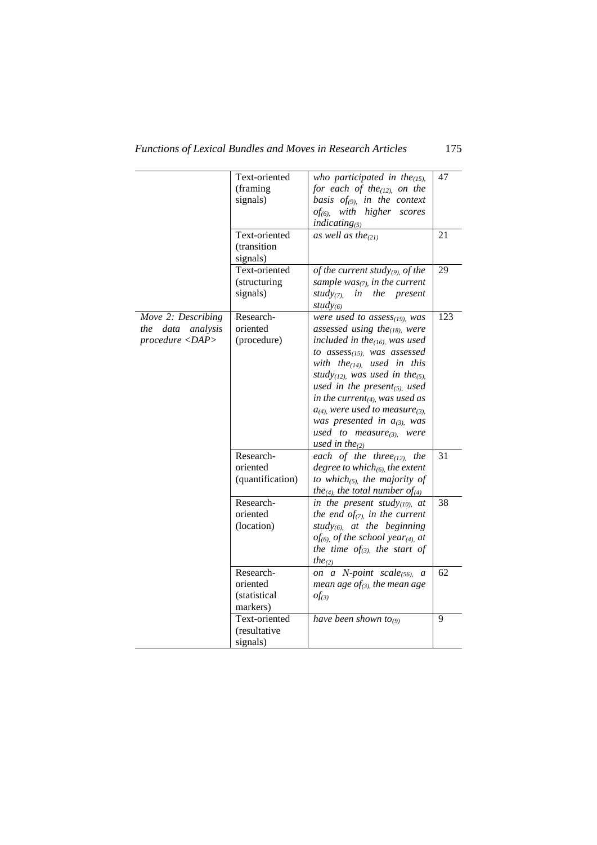|                                                                                                               | Text-oriented    | who participated in the $_{(15)}$ .                        | 47  |
|---------------------------------------------------------------------------------------------------------------|------------------|------------------------------------------------------------|-----|
|                                                                                                               | (framing         | for each of the $(12)$ , on the                            |     |
|                                                                                                               | signals)         | basis $of_{(9)}$ in the context                            |     |
|                                                                                                               |                  | $of_{(6)}$ with higher scores                              |     |
|                                                                                                               |                  | $indicating_{(5)}$                                         |     |
|                                                                                                               | Text-oriented    | as well as the $(21)$                                      | 21  |
|                                                                                                               | (transition      |                                                            |     |
|                                                                                                               | signals)         |                                                            |     |
|                                                                                                               | Text-oriented    | of the current study(9), of the                            | 29  |
|                                                                                                               | (structuring     | sample was $(7)$ , in the current                          |     |
|                                                                                                               | signals)         | $study_{(7)}$<br>in the present                            |     |
|                                                                                                               |                  | study(6)                                                   |     |
| Move 2: Describing                                                                                            | Research-        | were used to $assess_{(19)}$ , was                         | 123 |
| data analysis<br>the                                                                                          | oriented         | assessed using the $_{(18)}$ were                          |     |
| procedure <dap< td=""><td>(procedure)</td><td>included in the<math>(16)</math>, was used</td><td></td></dap<> | (procedure)      | included in the $(16)$ , was used                          |     |
|                                                                                                               |                  | to assess $(15)$ , was assessed                            |     |
|                                                                                                               |                  | with the <sub>(14)</sub> , used in this                    |     |
|                                                                                                               |                  | study(12), was used in the(5),                             |     |
|                                                                                                               |                  | used in the present $_{(5)}$ , used                        |     |
|                                                                                                               |                  | in the current <sub>(4)</sub> was used as                  |     |
|                                                                                                               |                  | $a_{(4)}$ , were used to measure <sub>(3)</sub>            |     |
|                                                                                                               |                  | was presented in $a_{(3)}$ , was                           |     |
|                                                                                                               |                  | used to measure $_{(3)}$<br>were                           |     |
|                                                                                                               |                  | used in the $(2)$                                          |     |
|                                                                                                               | Research-        | each of the three $(12)$ , the                             | 31  |
|                                                                                                               | oriented         | degree to which $(6)$ , the extent                         |     |
|                                                                                                               | (quantification) | to which $_{(5)}$ , the majority of                        |     |
|                                                                                                               |                  | the <sub>(4)</sub> the total number of <sub>(4)</sub>      |     |
|                                                                                                               | Research-        | in the present study $_{(10)}$ , at                        | 38  |
|                                                                                                               | oriented         | the end of $_{(7)}$ in the current                         |     |
|                                                                                                               | (location)       | study $_{(6)}$ at the beginning                            |     |
|                                                                                                               |                  | of <sub>(6)</sub> , of the school year <sub>(4)</sub> , at |     |
|                                                                                                               |                  | the time $of_{(3)}$ , the start of                         |     |
|                                                                                                               |                  | the <sub>(2)</sub>                                         |     |
|                                                                                                               | Research-        | on a N-point scale $(56)$ , a                              | 62  |
|                                                                                                               | oriented         | mean age of <sub>(3)</sub> the mean age                    |     |
|                                                                                                               | (statistical     | $of_{(3)}$                                                 |     |
|                                                                                                               | markers)         |                                                            |     |
|                                                                                                               | Text-oriented    | have been shown to <sub>(9)</sub>                          | 9   |
|                                                                                                               | (resultative     |                                                            |     |
|                                                                                                               | signals)         |                                                            |     |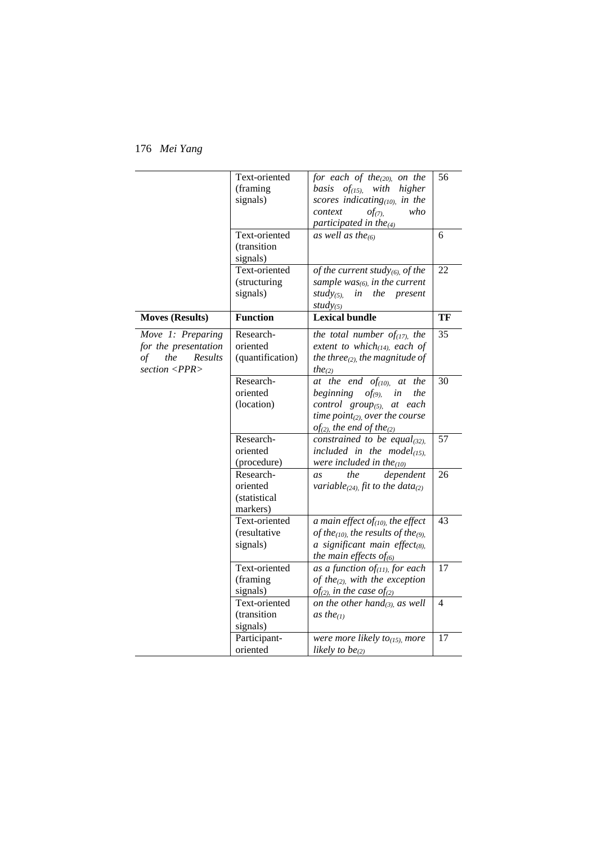|                        | Text-oriented    | for each of the $_{(20)}$ on the                             | 56              |
|------------------------|------------------|--------------------------------------------------------------|-----------------|
|                        | (framing         | basis $of$ <sub>(15)</sub> , with<br>higher                  |                 |
|                        | signals)         | scores indicating $(10)$ , in the                            |                 |
|                        |                  | who<br>context<br>$of_{(7)}$                                 |                 |
|                        |                  | participated in the $_{(4)}$                                 |                 |
|                        | Text-oriented    | as well as the $_{(6)}$                                      | 6               |
|                        | (transition      |                                                              |                 |
|                        | signals)         |                                                              |                 |
|                        | Text-oriented    | of the current study $_{(6)}$ of the                         | 22              |
|                        | (structuring     | sample $was_{(6)}$ , in the current                          |                 |
|                        | signals)         | study(5),<br>in the present                                  |                 |
|                        |                  | study(5)                                                     |                 |
| <b>Moves (Results)</b> | <b>Function</b>  | <b>Lexical bundle</b>                                        | TF              |
| Move 1: Preparing      | Research-        | the total number of $_{(17)}$ , the                          | 35              |
| for the presentation   | oriented         | extent to which $_{(14)}$ each of                            |                 |
| the<br>Results<br>of   | (quantification) | the three $_{(2)}$ the magnitude of                          |                 |
| section <ppr></ppr>    |                  | $the_{(2)}$                                                  |                 |
|                        | Research-        | at the end $of$ <sub>(10)</sub> ,<br>the<br><i>at</i>        | 30              |
|                        | oriented         | beginning<br>$of_{(9)}$<br>in<br>the                         |                 |
|                        | (location)       | control $group_{(5)}$ at each                                |                 |
|                        |                  | time $point_{(2)}$ , over the course                         |                 |
|                        |                  | $of_{(2)}$ , the end of the <sub>(2)</sub>                   |                 |
|                        | Research-        | constrained to be equal(32),                                 | 57              |
|                        | oriented         | included in the model $_{(15)}$ ,                            |                 |
|                        | (procedure)      | were included in the $_{(10)}$                               |                 |
|                        | Research-        | the<br>dependent<br>as                                       | 26              |
|                        | oriented         | variable(24), fit to the data(2)                             |                 |
|                        | (statistical     |                                                              |                 |
|                        | markers)         |                                                              |                 |
|                        | Text-oriented    | a main effect of $_{(10)}$ the effect                        | 43              |
|                        | (resultative     | of the <sub>(10)</sub> , the results of the <sub>(9)</sub> , |                 |
|                        | signals)         | a significant main effect(8),                                |                 |
|                        |                  | the main effects of $_{(6)}$                                 |                 |
|                        | Text-oriented    | as a function of $_{(11)}$ , for each                        | $\overline{17}$ |
|                        | (framing         | of the <sub>(2)</sub> , with the exception                   |                 |
|                        | signals)         | $of_{(2)}$ , in the case $of_{(2)}$                          |                 |
|                        | Text-oriented    | on the other hand $_{(3)}$ , as well                         | 4               |
|                        | (transition      | as the $(1)$                                                 |                 |
|                        | signals)         |                                                              |                 |
|                        | Participant-     | were more likely to $(15)$ , more                            | 17              |
|                        | oriented         | likely to be $_{(2)}$                                        |                 |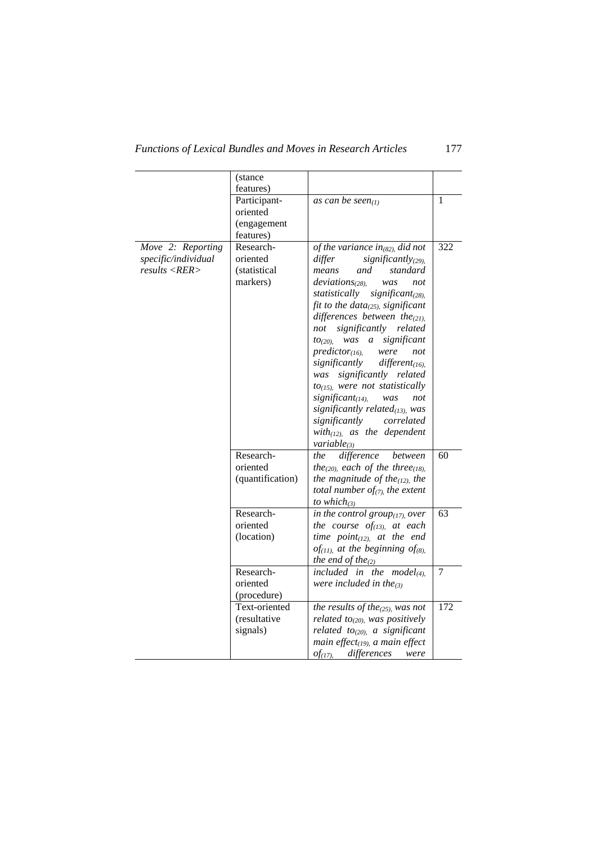# *Functions of Lexical Bundles and Moves in Research Articles* 177

|                                                           | (stance                                                                                                |                                                                                                                                                                                                                                                                                                                                                                                                                                                                                                                                                                                                                                                                                                                                                                                                                                                                       |                  |
|-----------------------------------------------------------|--------------------------------------------------------------------------------------------------------|-----------------------------------------------------------------------------------------------------------------------------------------------------------------------------------------------------------------------------------------------------------------------------------------------------------------------------------------------------------------------------------------------------------------------------------------------------------------------------------------------------------------------------------------------------------------------------------------------------------------------------------------------------------------------------------------------------------------------------------------------------------------------------------------------------------------------------------------------------------------------|------------------|
|                                                           | features)<br>Participant-<br>oriented<br>(engagement<br>features)                                      | as can be seen $(1)$                                                                                                                                                                                                                                                                                                                                                                                                                                                                                                                                                                                                                                                                                                                                                                                                                                                  | $\mathbf{1}$     |
| Move 2: Reporting<br>specific/individual<br>results < RER | Research-<br>oriented<br><i>(statistical)</i><br>markers)<br>Research-<br>oriented<br>(quantification) | of the variance in $_{(82)}$ did not<br>differ<br>significantly <sub>(29)</sub><br>standard<br>means<br>and<br>deviations <sub>(28)</sub><br>not<br>was<br>significant <sub>(28)</sub><br>statistically<br>fit to the data $_{(25)}$ significant<br>differences between the $_{(21)}$ .<br>significantly<br>related<br>not<br>was<br>significant<br>$\mathfrak{a}$<br>10(20)<br>$predictor_{(16)}$<br>were<br>not<br>significantly<br>$differential$ <sub>(16)</sub><br>significantly related<br>was<br>$to$ <sub>(15)</sub> , were not statistically<br>significant <sub>(14)</sub><br>not<br>was<br>significantly related $_{(13)}$ , was<br>correlated<br>significantly<br>with $(12)$ , as the dependent<br>$variable_{(3)}$<br>difference<br>the<br>between<br>the <sub>(20)</sub> , each of the three <sub>(18)</sub> ,<br>the magnitude of the $_{(12)}$ , the | 322<br>60        |
|                                                           |                                                                                                        | total number of $_{(7)}$ , the extent<br>to which $_{(3)}$                                                                                                                                                                                                                                                                                                                                                                                                                                                                                                                                                                                                                                                                                                                                                                                                            |                  |
|                                                           | Research-<br>oriented<br>(location)                                                                    | in the control group $(17)$ , over<br>the course $of_{(13)}$ , at each<br>time $point_{(12)}$ , at the end<br>of <sub>(11)</sub> , at the beginning of <sub>(8)</sub> ,<br>the end of the $_{(2)}$                                                                                                                                                                                                                                                                                                                                                                                                                                                                                                                                                                                                                                                                    | 63               |
|                                                           | Research-<br>oriented<br>(procedure)                                                                   | included in the<br>$model_{(4)}$<br>were included in the $_{(3)}$                                                                                                                                                                                                                                                                                                                                                                                                                                                                                                                                                                                                                                                                                                                                                                                                     | $\overline{7}$   |
|                                                           | Text-oriented<br>(resultative<br>signals)                                                              | the results of the $_{(25)}$ was not<br>related to <sub>(20)</sub> , was positively<br>related $to_{(20)}$ , a significant<br>main effect $(19)$ , a main effect<br>differences<br>$of$ (17),<br>were                                                                                                                                                                                                                                                                                                                                                                                                                                                                                                                                                                                                                                                                 | $\overline{172}$ |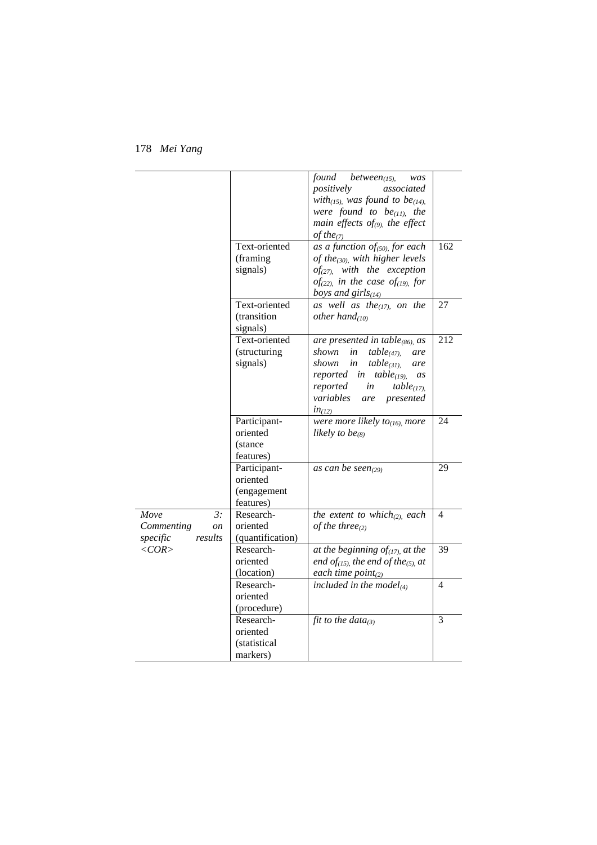178 *Mei Yang*

|                                                       |                                                      | found<br>between $(15)$ .<br>was<br>positively<br>associated<br>with <sub>(15)</sub> , was found to be <sub>(14)</sub> ,<br>were found to $be_{(11)}$ , the<br>main effects $of_{(9)}$ , the effect<br>of the $(7)$                                       |                |
|-------------------------------------------------------|------------------------------------------------------|-----------------------------------------------------------------------------------------------------------------------------------------------------------------------------------------------------------------------------------------------------------|----------------|
|                                                       | Text-oriented<br>(framing)<br>signals)               | as a function of $(50)$ , for each<br>of the <sub>(30)</sub> , with higher levels<br>$of$ <sub>(27)</sub> , with the exception<br>of(22), in the case of(19), for<br>boys and girl $s_{(14)}$                                                             | 162            |
|                                                       | Text-oriented<br>(transition<br>signals)             | as well as the $_{(17)}$ on the<br>other hand $_{(10)}$                                                                                                                                                                                                   | 27             |
|                                                       | Text-oriented<br>(structuring<br>signals)            | are presented in table $(86)$ , as<br>shown<br>in<br>$table_{(47)}$<br>are<br>shown<br>in<br>$table_{(31)}$<br>are<br>reported in table $_{(19)}$<br><i>as</i><br>reported<br>in<br>table <sub>(17)</sub><br>variables<br>presented<br>are<br>$in_{(12)}$ | 212            |
|                                                       | Participant-<br>oriented<br>(stance<br>features)     | were more likely to $(16)$ , more<br>likely to be $_{(8)}$                                                                                                                                                                                                | 24             |
|                                                       | Participant-<br>oriented<br>(engagement<br>features) | as can be seen(29)                                                                                                                                                                                                                                        | 29             |
| Move<br>3:<br>Commenting<br>on<br>specific<br>results | Research-<br>oriented<br>(quantification)            | the extent to which $_{(2)}$ each<br>of the three $(2)$                                                                                                                                                                                                   | 4              |
| $\langle COR \rangle$                                 | Research-<br>oriented<br>(location)                  | at the beginning $of$ <sub>(17)</sub> , at the<br>end of $_{(15)}$ , the end of the <sub>(5)</sub> , at<br>each time $point_{(2)}$                                                                                                                        | 39             |
|                                                       | Research-<br>oriented<br>(procedure)                 | included in the model $_{(4)}$                                                                                                                                                                                                                            | $\overline{4}$ |
|                                                       | Research-<br>oriented<br>(statistical<br>markers)    | fit to the data $a_{(3)}$                                                                                                                                                                                                                                 | 3              |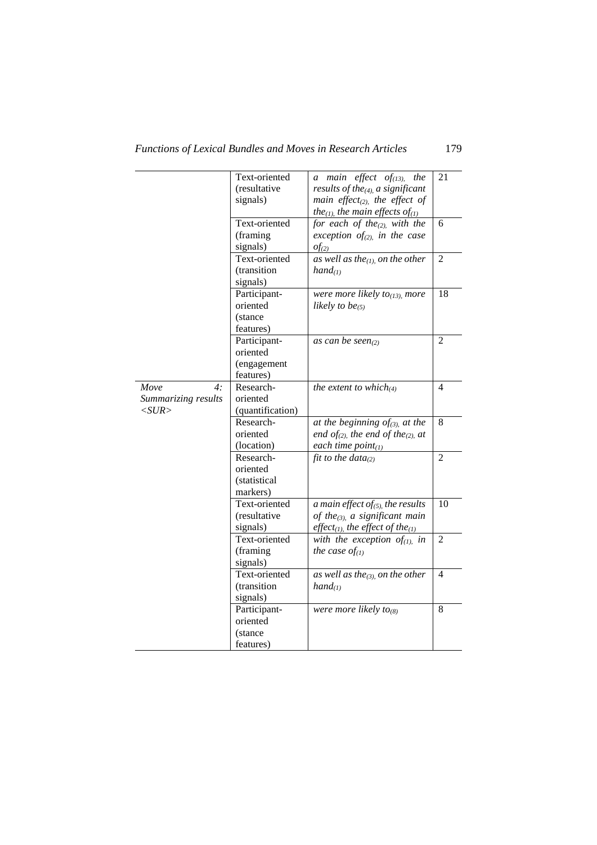|                     | Text-oriented    | a main effect of $_{(13)}$<br>the                          | 21             |
|---------------------|------------------|------------------------------------------------------------|----------------|
|                     | (resultative     | results of the $(4)$ , a significant                       |                |
|                     | signals)         | main effect <sub>(2)</sub> , the effect of                 |                |
|                     |                  | the <sub>(1)</sub> , the main effects of <sub>(1)</sub>    |                |
|                     | Text-oriented    | for each of the <sub>(2)</sub> , with the                  | 6              |
|                     | (framing         | exception of <sub>(2)</sub> , in the case                  |                |
|                     | signals)         | $of_{(2)}$                                                 |                |
|                     | Text-oriented    | as well as the $(1)$ , on the other                        | $\overline{2}$ |
|                     | (transition      | $hand_{(1)}$                                               |                |
|                     | signals)         |                                                            |                |
|                     | Participant-     | were more likely to $(13)$ , more                          | 18             |
|                     | oriented         | likely to be $(5)$                                         |                |
|                     | (stance          |                                                            |                |
|                     | features)        |                                                            |                |
|                     | Participant-     | as can be seen $_{(2)}$                                    | $\overline{2}$ |
|                     | oriented         |                                                            |                |
|                     | (engagement      |                                                            |                |
|                     | features)        |                                                            |                |
| Move<br>4:          | Research-        | the extent to which $u_4$                                  | $\overline{4}$ |
| Summarizing results | oriented         |                                                            |                |
| $<$ SUR $>$         | (quantification) |                                                            |                |
|                     | Research-        | at the beginning $of_{(3)}$ at the                         | 8              |
|                     | oriented         | end of <sub>(2)</sub> , the end of the <sub>(2)</sub> , at |                |
|                     | (location)       | each time $point_{(1)}$                                    |                |
|                     | Research-        | fit to the data $a_{(2)}$                                  | $\overline{2}$ |
|                     | oriented         |                                                            |                |
|                     | (statistical     |                                                            |                |
|                     | markers)         |                                                            |                |
|                     | Text-oriented    | a main effect of(5), the results                           | 10             |
|                     | (resultative     | of the $_{(3)}$ , a significant main                       |                |
|                     | signals)         | effect <sub>(1)</sub> , the effect of the <sub>(1)</sub>   |                |
|                     | Text-oriented    | with the exception of $_{(1)}$ , in                        | $\overline{2}$ |
|                     | (framing)        | the case $of_{(1)}$                                        |                |
|                     | signals)         |                                                            |                |
|                     | Text-oriented    | as well as the(3), on the other                            | $\overline{4}$ |
|                     | (transition      | $hand_{(1)}$                                               |                |
|                     | signals)         |                                                            |                |
|                     | Participant-     | were more likely to <sub>(8)</sub>                         | 8              |
|                     | oriented         |                                                            |                |
|                     | (stance          |                                                            |                |
|                     |                  |                                                            |                |
|                     | features)        |                                                            |                |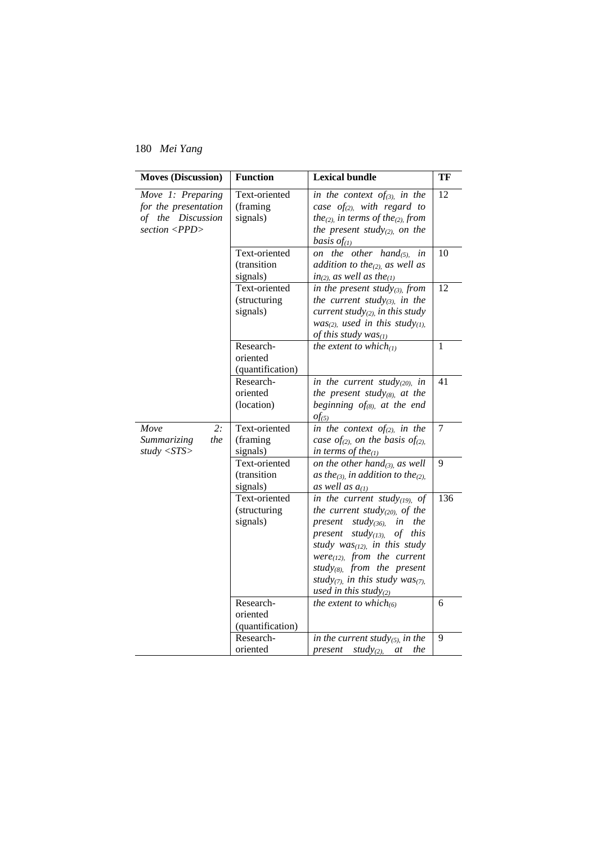| <b>Moves (Discussion)</b>                                                                       | <b>Function</b>                           | <b>Lexical bundle</b>                                                                                                                                                                                                                                                                                                   | TF             |
|-------------------------------------------------------------------------------------------------|-------------------------------------------|-------------------------------------------------------------------------------------------------------------------------------------------------------------------------------------------------------------------------------------------------------------------------------------------------------------------------|----------------|
| Move 1: Preparing<br>for the presentation<br>of the Discussion<br>section $\langle PPD \rangle$ | Text-oriented<br>(framing)<br>signals)    | in the context of $_{(3)}$ , in the<br>case $of_{(2)}$ , with regard to<br>the <sub>(2)</sub> , in terms of the <sub>(2)</sub> , from<br>the present study(2), on the<br>basis $of_{(1)}$                                                                                                                               | 12             |
|                                                                                                 | Text-oriented<br>(transition<br>signals)  | on the other hand $(5)$ ,<br>in<br>addition to the <sub>(2)</sub> , as well as<br>$in_{(2)}$ , as well as the <sub>(1)</sub>                                                                                                                                                                                            | 10             |
|                                                                                                 | Text-oriented<br>(structuring<br>signals) | in the present study(3), from<br>the current study(3), in the<br>current study $_{(2)}$ , in this study<br>$was_{(2)}$ , used in this study(1),<br>of this study $was_{(1)}$                                                                                                                                            | 12             |
|                                                                                                 | Research-<br>oriented<br>(quantification) | the extent to which $(l)$                                                                                                                                                                                                                                                                                               | $\mathbf{1}$   |
|                                                                                                 | Research-<br>oriented<br>(location)       | in the current study(20), in<br>the present study(8), at the<br>beginning $of_{(8)}$ , at the end<br>$of_{(5)}$                                                                                                                                                                                                         | 41             |
| $\overline{2}$ :<br>Move<br>the<br>Summarizing<br>study $\langle STS \rangle$                   | Text-oriented<br>(framing<br>signals)     | in the context of $_{(2)}$ in the<br>case of <sub>(2)</sub> , on the basis of <sub>(2)</sub> ,<br>in terms of the $_{(1)}$                                                                                                                                                                                              | $\overline{7}$ |
|                                                                                                 | Text-oriented<br>(transition<br>signals)  | on the other hand $_{(3)}$ , as well<br>as the <sub>(3)</sub> , in addition to the <sub>(2)</sub> ,<br>as well as $a_{(1)}$                                                                                                                                                                                             | 9              |
|                                                                                                 | Text-oriented<br>(structuring<br>signals) | in the current study $(19)$ , of<br>the current study(20), of the<br>the<br>present<br>study(36).<br>in<br>study $_{(13)}$<br>of<br>this<br>present<br>study $was_{(12)}$ , in this study<br>$were_{(12)}$ , from the current<br>study(8), from the present<br>study(7), in this study was(7),<br>used in this study(2) | 136            |
|                                                                                                 | Research-<br>oriented<br>(quantification) | the extent to which $(6)$                                                                                                                                                                                                                                                                                               | 6              |
|                                                                                                 | Research-<br>oriented                     | in the current study(5), in the<br>study(2),<br>the<br>present<br>at                                                                                                                                                                                                                                                    | 9              |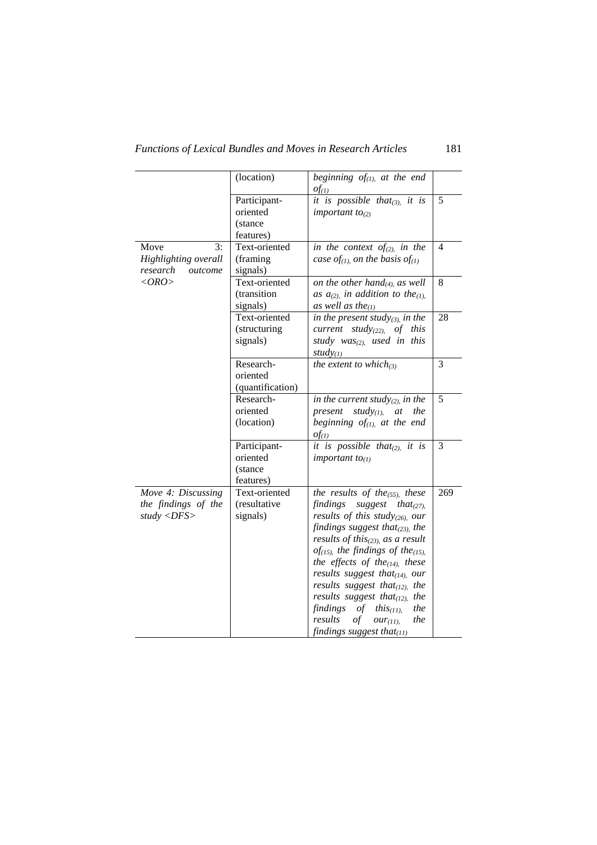|                                                                          | (location)                                        | beginning $of_{(1)}$ , at the end<br>$of_{(1)}$                                                                                                                                                                                                                                                                                                                                                                                                                                                                                                |                |
|--------------------------------------------------------------------------|---------------------------------------------------|------------------------------------------------------------------------------------------------------------------------------------------------------------------------------------------------------------------------------------------------------------------------------------------------------------------------------------------------------------------------------------------------------------------------------------------------------------------------------------------------------------------------------------------------|----------------|
|                                                                          | Participant-<br>oriented<br>(stance)<br>features) | it is possible that(3), it is<br>important $to_{(2)}$                                                                                                                                                                                                                                                                                                                                                                                                                                                                                          | 5              |
| Move<br>3:<br>Highlighting overall<br>research<br>outcome                | Text-oriented<br>(framing)<br>signals)            | in the context of <sub>(2)</sub> in the<br>case of <sub>(1)</sub> on the basis of <sub>(1)</sub>                                                                                                                                                                                                                                                                                                                                                                                                                                               | $\overline{4}$ |
| $\langle ORO \rangle$                                                    | Text-oriented<br>(transition<br>signals)          | on the other hand $_{(4)}$ , as well<br>as $a_{(2)}$ , in addition to the <sub>(1)</sub> ,<br>as well as the $(1)$                                                                                                                                                                                                                                                                                                                                                                                                                             | 8              |
|                                                                          | Text-oriented<br>(structuring<br>signals)         | in the present study(3), in the<br>current study(22), of this<br>study $was_{(2)}$ , used in this<br>$study_{(1)}$                                                                                                                                                                                                                                                                                                                                                                                                                             | 28             |
|                                                                          | Research-<br>oriented<br>(quantification)         | the extent to which $(a)$                                                                                                                                                                                                                                                                                                                                                                                                                                                                                                                      | 3              |
|                                                                          | Research-<br>oriented<br>(location)               | in the current study $_{(2)}$ , in the<br>present<br>study $(1)$ ,<br>the<br>at<br>beginning $of_{(1)}$ at the end<br>$of_{(1)}$                                                                                                                                                                                                                                                                                                                                                                                                               | 5              |
|                                                                          | Participant-<br>oriented<br>(stance<br>features)  | it is possible that $_{(2)}$ it is<br>important $to_{(1)}$                                                                                                                                                                                                                                                                                                                                                                                                                                                                                     | 3              |
| Move 4: Discussing<br>the findings of the<br>study $\langle DFS \rangle$ | Text-oriented<br>(resultative<br>signals)         | the results of the $_{(55)}$ , these<br>findings<br>suggest<br>that $(27)$ .<br>results of this study(26), our<br>findings suggest that $_{(23)}$ , the<br>results of this $_{(23)}$ , as a result<br>of(15), the findings of the(15),<br>the effects of the $(14)$ , these<br>results suggest that $_{(14)}$ , our<br>results suggest that $(12)$ , the<br>results suggest that $_{(12)}$<br>the<br>the<br>findings<br><i>this</i> $(11)$ .<br>of<br>results<br>$\sigma f$<br>$\textit{our}_{(11)}$<br>the<br>findings suggest that $_{(11)}$ | 269            |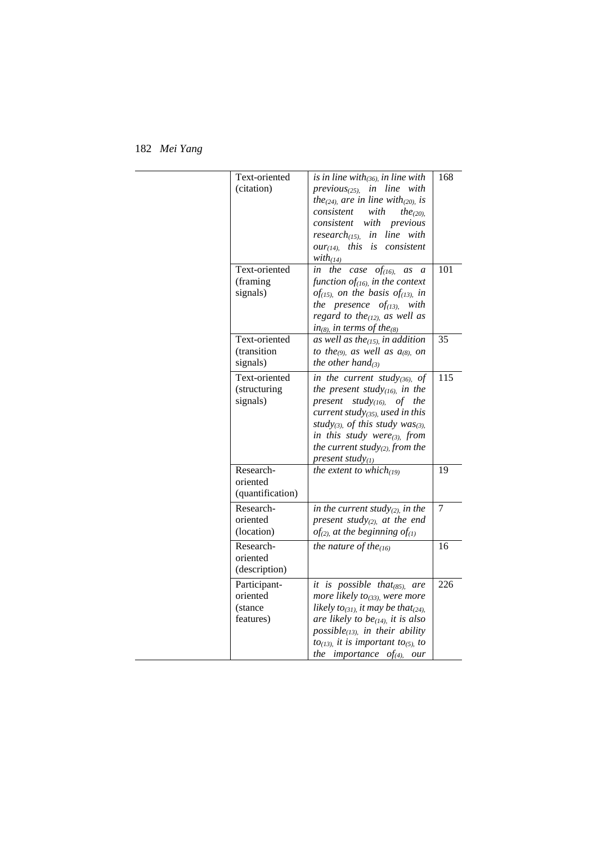| Text-oriented<br>(citation)                       | $\overline{is}$ in line with $_{(36)}$ in line with<br>$previous_{(25)}$ , in line with<br>the <sub>(24)</sub> , are in line with <sub>(20)</sub> , is<br>consistent with<br>the <sub>(20)</sub><br>consistent with previous<br>research $_{(15)}$ , in line with<br>this is consistent<br>OUT(14)<br>$with_{(14)}$                   | 168 |
|---------------------------------------------------|---------------------------------------------------------------------------------------------------------------------------------------------------------------------------------------------------------------------------------------------------------------------------------------------------------------------------------------|-----|
| Text-oriented<br>(framing)<br>signals)            | the<br>case $of$ <sub>(16)</sub> ,<br>as<br>in<br>$\overline{a}$<br>function of $(16)$ , in the context<br>of <sub>(15)</sub> , on the basis of <sub>(13)</sub> , in<br>the presence $of_{(13)}$ , with<br>regard to the $(12)$ , as well as<br>$in_{(8)}$ , in terms of the <sub>(8)</sub>                                           | 101 |
| Text-oriented<br>(transition<br>signals)          | as well as the $(15)$ , in addition<br>to the <sub>(9)</sub> , as well as $a_{(8)}$ on<br>the other hand                                                                                                                                                                                                                              | 35  |
| Text-oriented<br>(structuring<br>signals)         | in the current study(36), of<br>the present study $_{(16)}$ in the<br>present study $(16)$ , of the<br>current study $(35)$ , used in this<br>study(3), of this study was(3).<br>in this study were $(3)$ , from<br>the current study(2), from the<br>present study $_{(1)}$                                                          | 115 |
| Research-<br>oriented<br>(quantification)         | the extent to which $_{(19)}$                                                                                                                                                                                                                                                                                                         | 19  |
| Research-<br>oriented<br>(location)               | in the current study(2), in the<br>present study(2), at the end<br>$of_{(2)}$ at the beginning $of_{(1)}$                                                                                                                                                                                                                             | 7   |
| Research-<br>oriented<br>(description)            | the nature of the $(16)$                                                                                                                                                                                                                                                                                                              | 16  |
| Participant-<br>oriented<br>(stance)<br>features) | it is possible that $_{(85)}$ .<br>are<br>more likely to <sub>(33)</sub> , were more<br>likely to <sub>(31)</sub> , it may be that <sub>(24)</sub> ,<br>are likely to be $_{(14)}$ , it is also<br>possible $(13)$ , in their ability<br>$to$ <sub>(13)</sub> , it is important to <sub>(5)</sub> , to<br>the importance of $a_1$ our | 226 |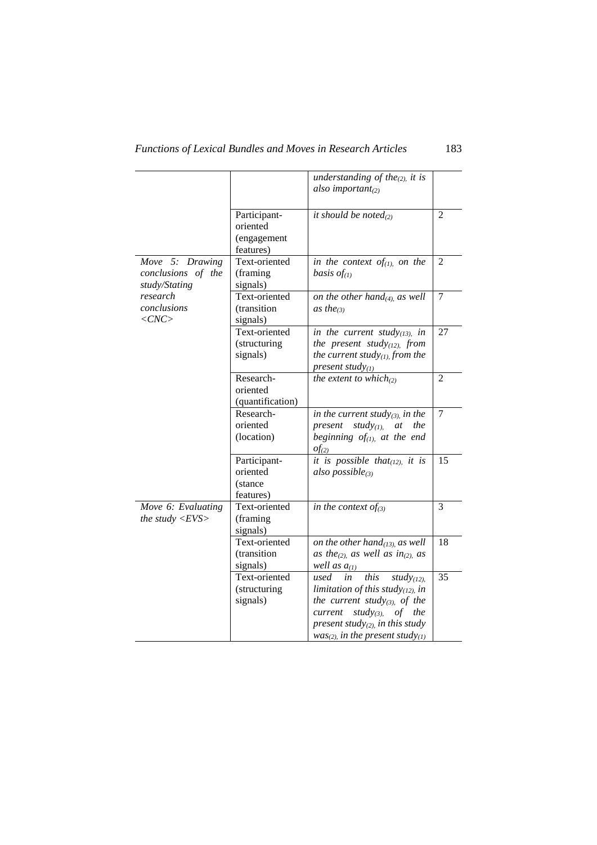|                                                        |                                                      | understanding of the <sub>(2)</sub> it is<br>also important $(2)$                                                                                                                                                                         |                 |
|--------------------------------------------------------|------------------------------------------------------|-------------------------------------------------------------------------------------------------------------------------------------------------------------------------------------------------------------------------------------------|-----------------|
|                                                        | Participant-<br>oriented<br>(engagement<br>features) | it should be noted $_{(2)}$                                                                                                                                                                                                               | 2               |
| Move 5: Drawing<br>conclusions of the<br>study/Stating | Text-oriented<br>(framing<br>signals)                | in the context of $_{(1)}$ on the<br>basis $of_{(1)}$                                                                                                                                                                                     | $\overline{2}$  |
| research<br>conclusions<br>$\langle CNC \rangle$       | Text-oriented<br>(transition<br>signals)             | on the other hand $_{(4)}$ , as well<br>as the <sub>(3)</sub>                                                                                                                                                                             | 7               |
|                                                        | Text-oriented<br>(structuring<br>signals)            | in the current study $_{(13)}$ , in<br>the present study $(12)$ , from<br>the current study $_{(1)}$ from the<br>present study $_{(1)}$                                                                                                   | 27              |
|                                                        | Research-<br>oriented<br>(quantification)            | the extent to which $_{(2)}$                                                                                                                                                                                                              | $\overline{2}$  |
|                                                        | Research-<br>oriented<br>(location)                  | in the current study(3), in the<br>present<br>study $(y_{(1)})$<br>the<br>at<br>beginning $of_{(1)}$ at the end<br>$of_{(2)}$                                                                                                             | 7               |
|                                                        | Participant-<br>oriented<br>(stance<br>features)     | it is possible that $(12)$ , it is<br>also possible $_{(3)}$                                                                                                                                                                              | 15              |
| Move 6: Evaluating<br>the study $\langle EVS \rangle$  | Text-oriented<br>(framing)<br>signals)               | in the context of $(s)$                                                                                                                                                                                                                   | 3               |
|                                                        | Text-oriented<br>(transition<br>signals)             | on the other hand $_{(13)}$ as well<br>as the <sub>(2)</sub> , as well as in <sub>(2)</sub> , as<br>well as $a_{(1)}$                                                                                                                     | 18              |
|                                                        | Text-oriented<br>(structuring<br>signals)            | this<br>used<br>study <sub>(12)</sub><br>in<br>limitation of this study $_{(12)}$ in<br>the current study(3), of the<br>current<br>study(3).<br>the<br>of<br>present study $(2)$ , in this study<br>$was_{(2)}$ , in the present study(1) | $\overline{35}$ |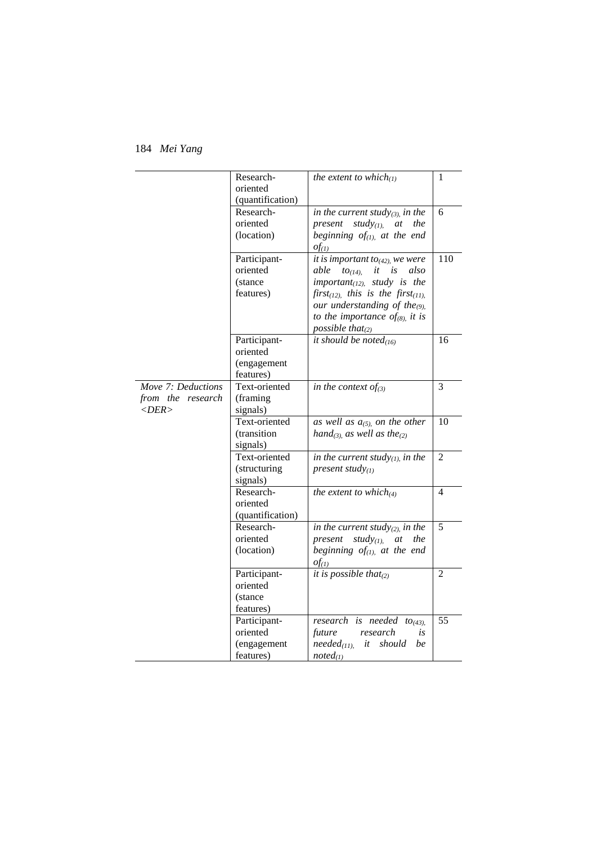|                                                                  | Research-<br>oriented<br>(quantification)            | the extent to which $l_{(1)}$                                                                                                                                                                                                                                                                             | 1              |
|------------------------------------------------------------------|------------------------------------------------------|-----------------------------------------------------------------------------------------------------------------------------------------------------------------------------------------------------------------------------------------------------------------------------------------------------------|----------------|
|                                                                  | Research-<br>oriented<br>(location)                  | in the current study(3), in the<br>present<br>study $_{(1)}$ at<br>the<br>beginning $of_{(1)}$ , at the end<br>$of_{(1)}$                                                                                                                                                                                 | 6              |
|                                                                  | Participant-<br>oriented<br>(stance)<br>features)    | it is important to $_{(42)}$ , we were<br>able<br>it<br>is<br>also<br>$to_{(14)}$<br>$important_{(12)}$ study is the<br>first <sub>(12)</sub> , this is the first <sub>(11)</sub> ,<br>our understanding of the <sub>(9)</sub> .<br>to the importance of <sub>(8)</sub> , it is<br>possible that $_{(2)}$ | 110            |
|                                                                  | Participant-<br>oriented<br>(engagement<br>features) | it should be noted $(16)$                                                                                                                                                                                                                                                                                 | 16             |
| Move 7: Deductions<br>from the research<br>$\langle DER \rangle$ | Text-oriented<br>(framing)<br>signals)               | in the context of $(s)$                                                                                                                                                                                                                                                                                   | $\overline{3}$ |
|                                                                  | Text-oriented<br>(transition<br>signals)             | as well as $a_{(5)}$ on the other<br>hand <sub>(3)</sub> , as well as the <sub>(2)</sub>                                                                                                                                                                                                                  | 10             |
|                                                                  | Text-oriented<br>(structuring<br>signals)            | in the current study $_{(1)}$ , in the<br>present study $_{(1)}$                                                                                                                                                                                                                                          | $\overline{2}$ |
|                                                                  | Research-<br>oriented<br>(quantification)            | the extent to which $(4)$                                                                                                                                                                                                                                                                                 | $\overline{4}$ |
|                                                                  | Research-<br>oriented<br>(location)                  | in the current study $_{(2)}$ in the<br>study $(y_{(1)})$<br>present<br>at<br>the<br>beginning $of_{(1)}$ , at the end<br>$of_{(1)}$                                                                                                                                                                      | 5              |
|                                                                  | Participant-<br>oriented<br>(stance)<br>features)    | it is possible that $_{(2)}$                                                                                                                                                                                                                                                                              | $\overline{2}$ |
|                                                                  | Participant-<br>oriented<br>(engagement<br>features) | research is needed to <sub>(43)</sub> ,<br>research<br>future<br>is<br>$needed_{(11)}$<br>it should<br>be<br>$noted_{(1)}$                                                                                                                                                                                | 55             |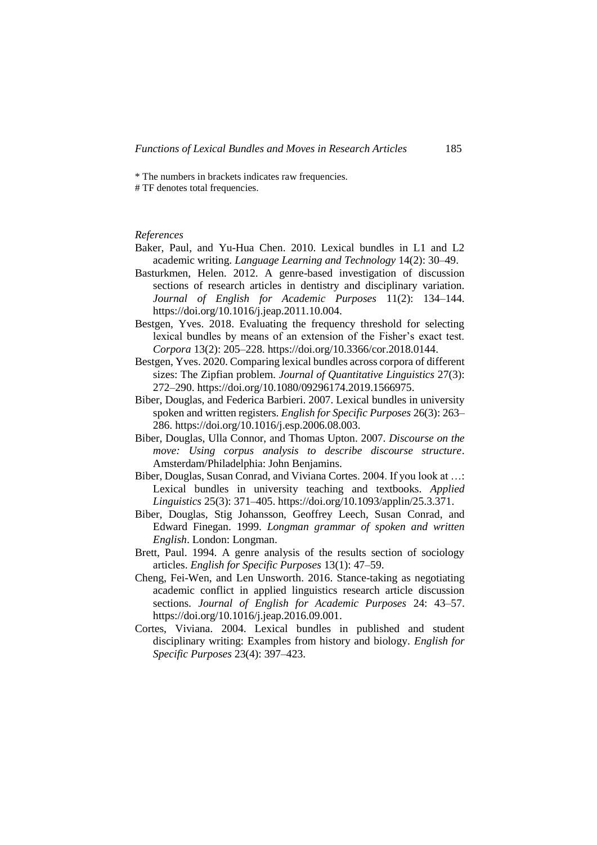\* The numbers in brackets indicates raw frequencies.

# TF denotes total frequencies.

## *References*

- Baker, Paul, and Yu-Hua Chen. 2010. Lexical bundles in L1 and L2 academic writing. *Language Learning and Technology* 14(2): 30–49.
- Basturkmen, Helen. 2012. A genre-based investigation of discussion sections of research articles in dentistry and disciplinary variation. *Journal of English for Academic Purposes* 11(2): 134–144. https://doi.org/10.1016/j.jeap.2011.10.004.
- Bestgen, Yves. 2018. Evaluating the frequency threshold for selecting lexical bundles by means of an extension of the Fisher's exact test. *Corpora* 13(2): 205–228. https://doi.org/10.3366/cor.2018.0144.
- Bestgen, Yves. 2020. Comparing lexical bundles across corpora of different sizes: The Zipfian problem. *Journal of Quantitative Linguistics* 27(3): 272–290. https://doi.org/10.1080/09296174.2019.1566975.
- Biber, Douglas, and Federica Barbieri. 2007. Lexical bundles in university spoken and written registers. *English for Specific Purposes* 26(3): 263– 286. https://doi.org/10.1016/j.esp.2006.08.003.
- Biber, Douglas, Ulla Connor, and Thomas Upton. 2007. *Discourse on the move: Using corpus analysis to describe discourse structure*. Amsterdam/Philadelphia: John Benjamins.
- Biber, Douglas, Susan Conrad, and Viviana Cortes. 2004. If you look at …: Lexical bundles in university teaching and textbooks. *Applied Linguistics* 25(3): 371–405. https://doi.org/10.1093/applin/25.3.371.
- Biber, Douglas, Stig Johansson, Geoffrey Leech, Susan Conrad, and Edward Finegan. 1999. *Longman grammar of spoken and written English*. London: Longman.
- Brett, Paul. 1994. A genre analysis of the results section of sociology articles. *English for Specific Purposes* 13(1): 47–59.
- Cheng, Fei-Wen, and Len Unsworth. 2016. Stance-taking as negotiating academic conflict in applied linguistics research article discussion sections. *Journal of English for Academic Purposes* 24: 43–57. https://doi.org/10.1016/j.jeap.2016.09.001.
- Cortes, Viviana. 2004. Lexical bundles in published and student disciplinary writing: Examples from history and biology. *English for Specific Purposes* 23(4): 397–423.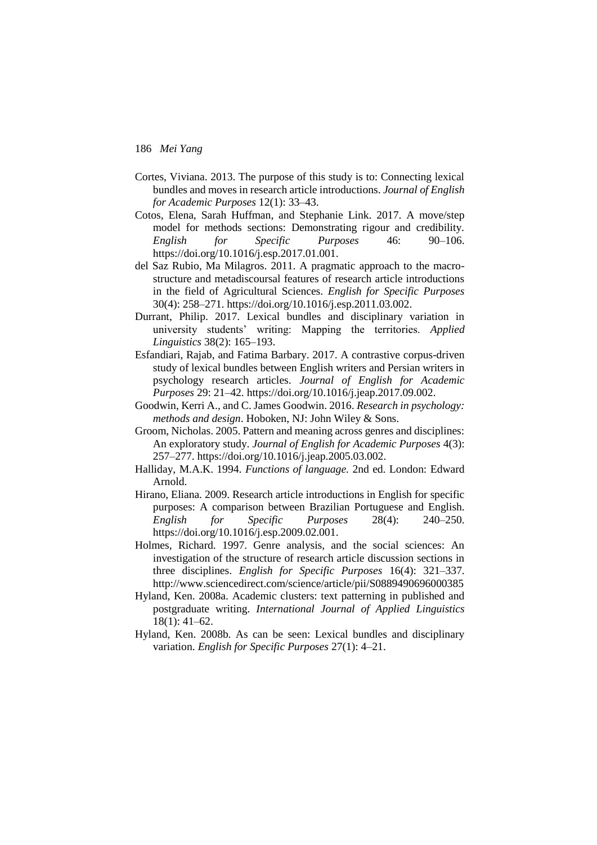- Cortes, Viviana. 2013. The purpose of this study is to: Connecting lexical bundles and moves in research article introductions. *Journal of English for Academic Purposes* 12(1): 33–43.
- Cotos, Elena, Sarah Huffman, and Stephanie Link. 2017. A move/step model for methods sections: Demonstrating rigour and credibility. *English for Specific Purposes* 46: 90–106. https://doi.org/10.1016/j.esp.2017.01.001.
- del Saz Rubio, Ma Milagros. 2011. A pragmatic approach to the macrostructure and metadiscoursal features of research article introductions in the field of Agricultural Sciences. *English for Specific Purposes* 30(4): 258–271. https://doi.org/10.1016/j.esp.2011.03.002.
- Durrant, Philip. 2017. Lexical bundles and disciplinary variation in university students' writing: Mapping the territories. *Applied Linguistics* 38(2): 165–193.
- Esfandiari, Rajab, and Fatima Barbary. 2017. A contrastive corpus-driven study of lexical bundles between English writers and Persian writers in psychology research articles. *Journal of English for Academic Purposes* 29: 21–42. https://doi.org/10.1016/j.jeap.2017.09.002.
- Goodwin, Kerri A., and C. James Goodwin. 2016. *Research in psychology: methods and design*. Hoboken, NJ: John Wiley & Sons.
- Groom, Nicholas. 2005. Pattern and meaning across genres and disciplines: An exploratory study. *Journal of English for Academic Purposes* 4(3): 257–277. https://doi.org/10.1016/j.jeap.2005.03.002.
- Halliday, M.A.K. 1994. *Functions of language.* 2nd ed. London: Edward Arnold.
- Hirano, Eliana. 2009. Research article introductions in English for specific purposes: A comparison between Brazilian Portuguese and English. *English for Specific Purposes* 28(4): 240–250. https://doi.org/10.1016/j.esp.2009.02.001.
- Holmes, Richard. 1997. Genre analysis, and the social sciences: An investigation of the structure of research article discussion sections in three disciplines. *English for Specific Purposes* 16(4): 321–337. http://www.sciencedirect.com/science/article/pii/S0889490696000385
- Hyland, Ken. 2008a. Academic clusters: text patterning in published and postgraduate writing. *International Journal of Applied Linguistics* 18(1): 41–62.
- Hyland, Ken. 2008b. As can be seen: Lexical bundles and disciplinary variation. *English for Specific Purposes* 27(1): 4–21.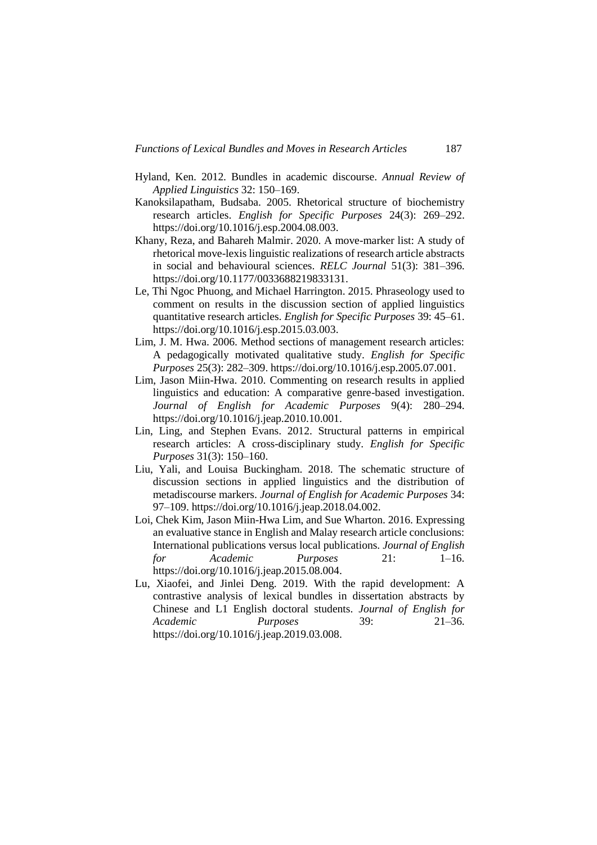- Hyland, Ken. 2012. Bundles in academic discourse. *Annual Review of Applied Linguistics* 32: 150–169.
- Kanoksilapatham, Budsaba. 2005. Rhetorical structure of biochemistry research articles. *English for Specific Purposes* 24(3): 269–292. https://doi.org/10.1016/j.esp.2004.08.003.
- Khany, Reza, and Bahareh Malmir. 2020. A move-marker list: A study of rhetorical move-lexis linguistic realizations of research article abstracts in social and behavioural sciences. *RELC Journal* 51(3): 381–396. https://doi.org/10.1177/0033688219833131.
- Le, Thi Ngoc Phuong, and Michael Harrington. 2015. Phraseology used to comment on results in the discussion section of applied linguistics quantitative research articles. *English for Specific Purposes* 39: 45–61. https://doi.org/10.1016/j.esp.2015.03.003.
- Lim, J. M. Hwa. 2006. Method sections of management research articles: A pedagogically motivated qualitative study. *English for Specific Purposes* 25(3): 282–309. https://doi.org/10.1016/j.esp.2005.07.001.
- Lim, Jason Miin-Hwa. 2010. Commenting on research results in applied linguistics and education: A comparative genre-based investigation. *Journal of English for Academic Purposes* 9(4): 280–294. https://doi.org/10.1016/j.jeap.2010.10.001.
- Lin, Ling, and Stephen Evans. 2012. Structural patterns in empirical research articles: A cross-disciplinary study. *English for Specific Purposes* 31(3): 150–160.
- Liu, Yali, and Louisa Buckingham. 2018. The schematic structure of discussion sections in applied linguistics and the distribution of metadiscourse markers. *Journal of English for Academic Purposes* 34: 97–109. https://doi.org/10.1016/j.jeap.2018.04.002.
- Loi, Chek Kim, Jason Miin-Hwa Lim, and Sue Wharton. 2016. Expressing an evaluative stance in English and Malay research article conclusions: International publications versus local publications. *Journal of English for Academic Purposes* 21: 1–16. https://doi.org/10.1016/j.jeap.2015.08.004.
- Lu, Xiaofei, and Jinlei Deng. 2019. With the rapid development: A contrastive analysis of lexical bundles in dissertation abstracts by Chinese and L1 English doctoral students. *Journal of English for Academic Purposes* 39: 21–36. https://doi.org/10.1016/j.jeap.2019.03.008.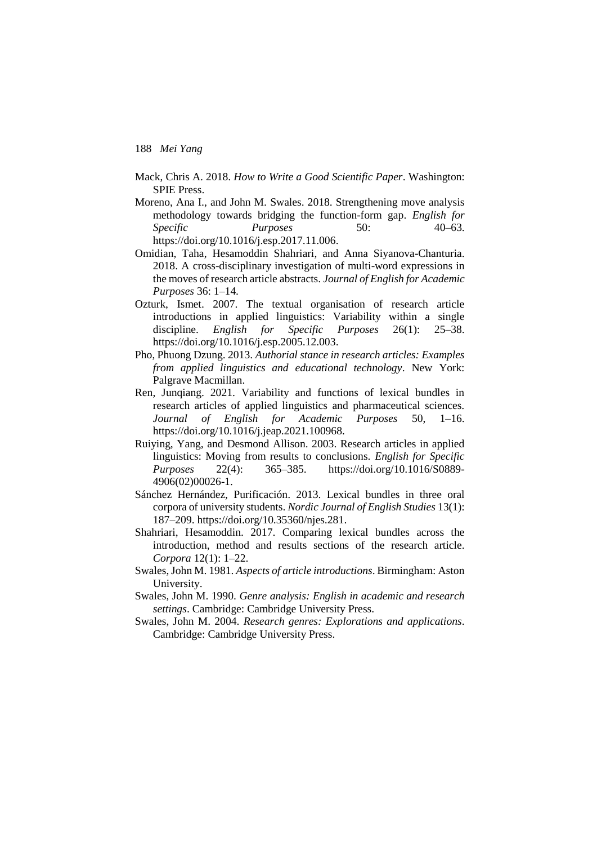- Mack, Chris A. 2018. *How to Write a Good Scientific Paper*. Washington: SPIE Press.
- Moreno, Ana I., and John M. Swales. 2018. Strengthening move analysis methodology towards bridging the function-form gap. *English for Specific Purposes* 50: 40–63. https://doi.org/10.1016/j.esp.2017.11.006.
- Omidian, Taha, Hesamoddin Shahriari, and Anna Siyanova-Chanturia. 2018. A cross-disciplinary investigation of multi-word expressions in the moves of research article abstracts. *Journal of English for Academic Purposes* 36: 1–14.
- Ozturk, Ismet. 2007. The textual organisation of research article introductions in applied linguistics: Variability within a single discipline. *English for Specific Purposes* 26(1): 25–38. https://doi.org/10.1016/j.esp.2005.12.003.
- Pho, Phuong Dzung. 2013. *Authorial stance in research articles: Examples from applied linguistics and educational technology*. New York: Palgrave Macmillan.
- Ren, Junqiang. 2021. Variability and functions of lexical bundles in research articles of applied linguistics and pharmaceutical sciences. *Journal of English for Academic Purposes* 50, 1–16. https://doi.org/10.1016/j.jeap.2021.100968.
- Ruiying, Yang, and Desmond Allison. 2003. Research articles in applied linguistics: Moving from results to conclusions. *English for Specific Purposes* 22(4): 365–385. https://doi.org/10.1016/S0889- 4906(02)00026-1.
- Sánchez Hernández, Purificación. 2013. Lexical bundles in three oral corpora of university students. *Nordic Journal of English Studies* 13(1): 187–209. https://doi.org/10.35360/njes.281.
- Shahriari, Hesamoddin. 2017. Comparing lexical bundles across the introduction, method and results sections of the research article. *Corpora* 12(1): 1–22.
- Swales, John M. 1981. *Aspects of article introductions*. Birmingham: Aston University.
- Swales, John M. 1990. *Genre analysis: English in academic and research settings*. Cambridge: Cambridge University Press.
- Swales, John M. 2004. *Research genres: Explorations and applications*. Cambridge: Cambridge University Press.